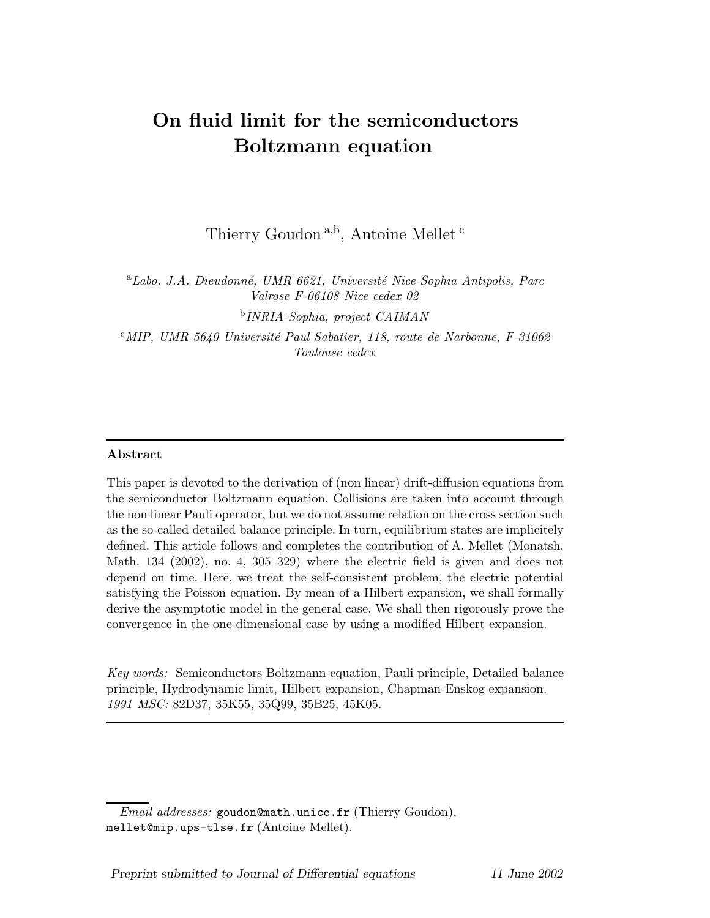# On fluid limit for the semiconductors Boltzmann equation

Thierry Goudon<sup>a,b</sup>, Antoine Mellet<sup>c</sup>

<sup>a</sup>Labo. J.A. Dieudonné, UMR 6621, Université Nice-Sophia Antipolis, Parc Valrose F-06108 Nice cedex 02

b INRIA-Sophia, project CAIMAN

<sup>c</sup>MIP, UMR 5640 Université Paul Sabatier, 118, route de Narbonne, F-31062 Toulouse cedex

## Abstract

This paper is devoted to the derivation of (non linear) drift-diffusion equations from the semiconductor Boltzmann equation. Collisions are taken into account through the non linear Pauli operator, but we do not assume relation on the cross section such as the so-called detailed balance principle. In turn, equilibrium states are implicitely defined. This article follows and completes the contribution of A. Mellet (Monatsh. Math. 134 (2002), no. 4, 305–329) where the electric field is given and does not depend on time. Here, we treat the self-consistent problem, the electric potential satisfying the Poisson equation. By mean of a Hilbert expansion, we shall formally derive the asymptotic model in the general case. We shall then rigorously prove the convergence in the one-dimensional case by using a modified Hilbert expansion.

Key words: Semiconductors Boltzmann equation, Pauli principle, Detailed balance principle, Hydrodynamic limit, Hilbert expansion, Chapman-Enskog expansion. 1991 MSC: 82D37, 35K55, 35Q99, 35B25, 45K05.

Email addresses: goudon@math.unice.fr (Thierry Goudon), mellet@mip.ups-tlse.fr (Antoine Mellet).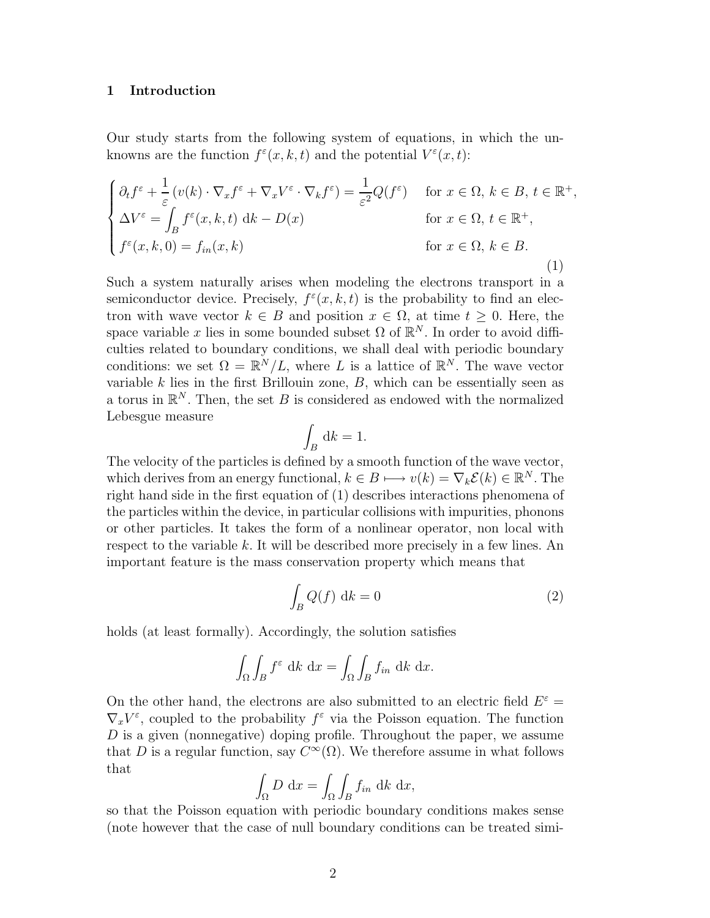#### 1 Introduction

Our study starts from the following system of equations, in which the unknowns are the function  $f^{\varepsilon}(x, k, t)$  and the potential  $V^{\varepsilon}(x, t)$ :

$$
\begin{cases}\n\partial_t f^\varepsilon + \frac{1}{\varepsilon} (v(k) \cdot \nabla_x f^\varepsilon + \nabla_x V^\varepsilon \cdot \nabla_k f^\varepsilon) = \frac{1}{\varepsilon^2} Q(f^\varepsilon) & \text{for } x \in \Omega, \, k \in B, \, t \in \mathbb{R}^+, \\
\Delta V^\varepsilon = \int_B f^\varepsilon(x, k, t) \, \mathrm{d}k - D(x) & \text{for } x \in \Omega, \, t \in \mathbb{R}^+, \\
f^\varepsilon(x, k, 0) = f_{in}(x, k) & \text{for } x \in \Omega, \, k \in B. \\
\end{cases}
$$
\n(1)

Such a system naturally arises when modeling the electrons transport in a semiconductor device. Precisely,  $f^{\varepsilon}(x, k, t)$  is the probability to find an electron with wave vector  $k \in B$  and position  $x \in \Omega$ , at time  $t \geq 0$ . Here, the space variable x lies in some bounded subset  $\Omega$  of  $\mathbb{R}^N$ . In order to avoid difficulties related to boundary conditions, we shall deal with periodic boundary conditions: we set  $\Omega = \mathbb{R}^N / L$ , where L is a lattice of  $\mathbb{R}^N$ . The wave vector variable  $k$  lies in the first Brillouin zone,  $B$ , which can be essentially seen as a torus in  $\mathbb{R}^N$ . Then, the set B is considered as endowed with the normalized Lebesgue measure

$$
\int_B \, \mathrm{d}k = 1.
$$

The velocity of the particles is defined by a smooth function of the wave vector, which derives from an energy functional,  $k \in B \longmapsto v(k) = \nabla_k \mathcal{E}(k) \in \mathbb{R}^N$ . The right hand side in the first equation of (1) describes interactions phenomena of the particles within the device, in particular collisions with impurities, phonons or other particles. It takes the form of a nonlinear operator, non local with respect to the variable k. It will be described more precisely in a few lines. An important feature is the mass conservation property which means that

$$
\int_{B} Q(f) \, \mathrm{d}k = 0 \tag{2}
$$

holds (at least formally). Accordingly, the solution satisfies

$$
\int_{\Omega} \int_{B} f^{\varepsilon} \, \mathrm{d}k \, \mathrm{d}x = \int_{\Omega} \int_{B} f_{in} \, \mathrm{d}k \, \mathrm{d}x.
$$

On the other hand, the electrons are also submitted to an electric field  $E^{\varepsilon}$  =  $\nabla_x V^{\varepsilon}$ , coupled to the probability  $f^{\varepsilon}$  via the Poisson equation. The function D is a given (nonnegative) doping profile. Throughout the paper, we assume that D is a regular function, say  $C^{\infty}(\Omega)$ . We therefore assume in what follows that

$$
\int_{\Omega} D \, \mathrm{d}x = \int_{\Omega} \int_{B} f_{in} \, \mathrm{d}k \, \mathrm{d}x,
$$

so that the Poisson equation with periodic boundary conditions makes sense (note however that the case of null boundary conditions can be treated simi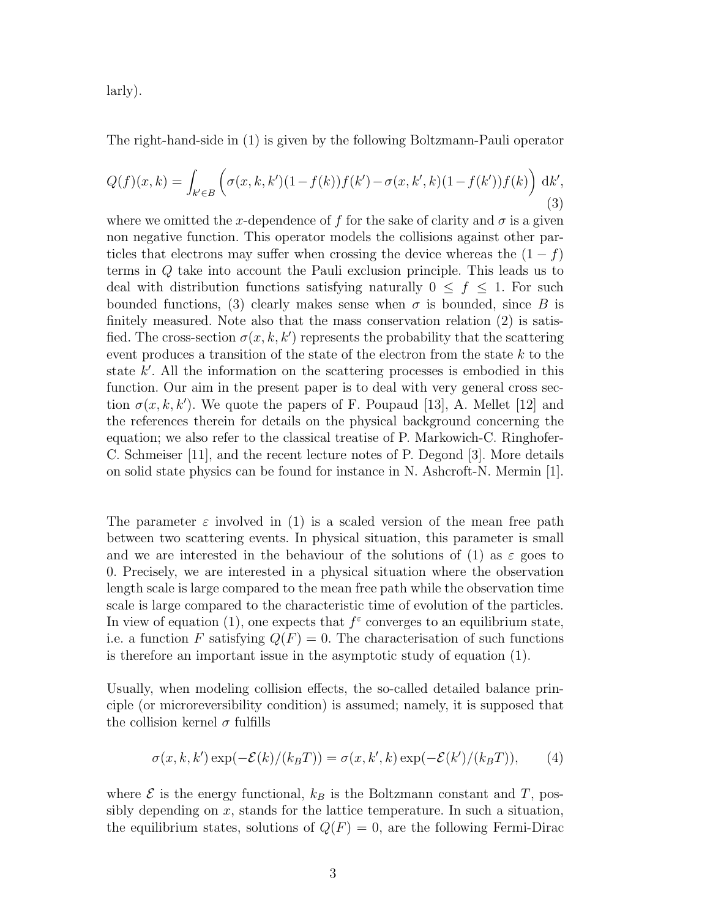larly).

The right-hand-side in (1) is given by the following Boltzmann-Pauli operator

$$
Q(f)(x,k) = \int_{k' \in B} \left( \sigma(x,k,k')(1 - f(k))f(k') - \sigma(x,k',k)(1 - f(k'))f(k) \right) dk',
$$
\n(3)

where we omitted the x-dependence of f for the sake of clarity and  $\sigma$  is a given non negative function. This operator models the collisions against other particles that electrons may suffer when crossing the device whereas the  $(1 - f)$ terms in Q take into account the Pauli exclusion principle. This leads us to deal with distribution functions satisfying naturally  $0 \leq f \leq 1$ . For such bounded functions, (3) clearly makes sense when  $\sigma$  is bounded, since B is finitely measured. Note also that the mass conservation relation (2) is satisfied. The cross-section  $\sigma(x, k, k')$  represents the probability that the scattering event produces a transition of the state of the electron from the state  $k$  to the state k'. All the information on the scattering processes is embodied in this function. Our aim in the present paper is to deal with very general cross section  $\sigma(x, k, k')$ . We quote the papers of F. Poupaud [13], A. Mellet [12] and the references therein for details on the physical background concerning the equation; we also refer to the classical treatise of P. Markowich-C. Ringhofer-C. Schmeiser [11], and the recent lecture notes of P. Degond [3]. More details on solid state physics can be found for instance in N. Ashcroft-N. Mermin [1].

The parameter  $\varepsilon$  involved in (1) is a scaled version of the mean free path between two scattering events. In physical situation, this parameter is small and we are interested in the behaviour of the solutions of (1) as  $\varepsilon$  goes to 0. Precisely, we are interested in a physical situation where the observation length scale is large compared to the mean free path while the observation time scale is large compared to the characteristic time of evolution of the particles. In view of equation (1), one expects that  $f^{\varepsilon}$  converges to an equilibrium state, i.e. a function F satisfying  $Q(F) = 0$ . The characterisation of such functions is therefore an important issue in the asymptotic study of equation (1).

Usually, when modeling collision effects, the so-called detailed balance principle (or microreversibility condition) is assumed; namely, it is supposed that the collision kernel  $\sigma$  fulfills

$$
\sigma(x, k, k') \exp(-\mathcal{E}(k)/(k_B T)) = \sigma(x, k', k) \exp(-\mathcal{E}(k')/(k_B T)), \quad (4)
$$

where  $\mathcal E$  is the energy functional,  $k_B$  is the Boltzmann constant and T, possibly depending on  $x$ , stands for the lattice temperature. In such a situation, the equilibrium states, solutions of  $Q(F) = 0$ , are the following Fermi-Dirac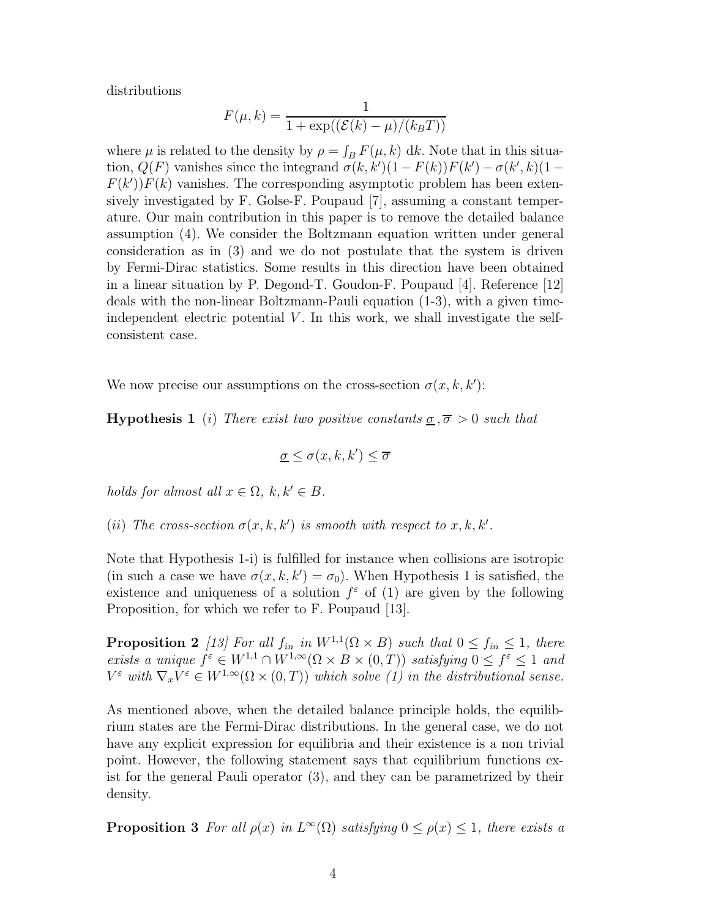distributions

$$
F(\mu, k) = \frac{1}{1 + \exp((\mathcal{E}(k) - \mu)/(k_B T))}
$$

where  $\mu$  is related to the density by  $\rho = \int_B F(\mu, k) \, dk$ . Note that in this situation,  $Q(F)$  vanishes since the integrand  $\sigma(k, k')(1 - F(k))F(k') - \sigma(k', k)(1 F(k')F(k)$  vanishes. The corresponding asymptotic problem has been extensively investigated by F. Golse-F. Poupaud [7], assuming a constant temperature. Our main contribution in this paper is to remove the detailed balance assumption (4). We consider the Boltzmann equation written under general consideration as in (3) and we do not postulate that the system is driven by Fermi-Dirac statistics. Some results in this direction have been obtained in a linear situation by P. Degond-T. Goudon-F. Poupaud [4]. Reference [12] deals with the non-linear Boltzmann-Pauli equation (1-3), with a given timeindependent electric potential  $V$ . In this work, we shall investigate the selfconsistent case.

We now precise our assumptions on the cross-section  $\sigma(x, k, k')$ :

**Hypothesis 1** (i) There exist two positive constants  $\sigma$ ,  $\overline{\sigma} > 0$  such that

$$
\underline{\sigma} \le \sigma(x, k, k') \le \overline{\sigma}
$$

holds for almost all  $x \in \Omega$ ,  $k, k' \in B$ .

(ii) The cross-section  $\sigma(x, k, k')$  is smooth with respect to  $x, k, k'$ .

Note that Hypothesis 1-i) is fulfilled for instance when collisions are isotropic (in such a case we have  $\sigma(x, k, k') = \sigma_0$ ). When Hypothesis 1 is satisfied, the existence and uniqueness of a solution  $f^{\varepsilon}$  of (1) are given by the following Proposition, for which we refer to F. Poupaud [13].

**Proposition 2** [13] For all  $f_{in}$  in  $W^{1,1}(\Omega \times B)$  such that  $0 \le f_{in} \le 1$ , there exists a unique  $f^{\varepsilon} \in W^{1,1} \cap W^{1,\infty}(\Omega \times B \times (0,T))$  satisfying  $0 \le f^{\varepsilon} \le 1$  and  $V^{\varepsilon}$  with  $\nabla_x V^{\varepsilon} \in W^{1,\infty}(\Omega \times (0,T))$  which solve (1) in the distributional sense.

As mentioned above, when the detailed balance principle holds, the equilibrium states are the Fermi-Dirac distributions. In the general case, we do not have any explicit expression for equilibria and their existence is a non trivial point. However, the following statement says that equilibrium functions exist for the general Pauli operator (3), and they can be parametrized by their density.

**Proposition 3** For all  $\rho(x)$  in  $L^{\infty}(\Omega)$  satisfying  $0 \leq \rho(x) \leq 1$ , there exists a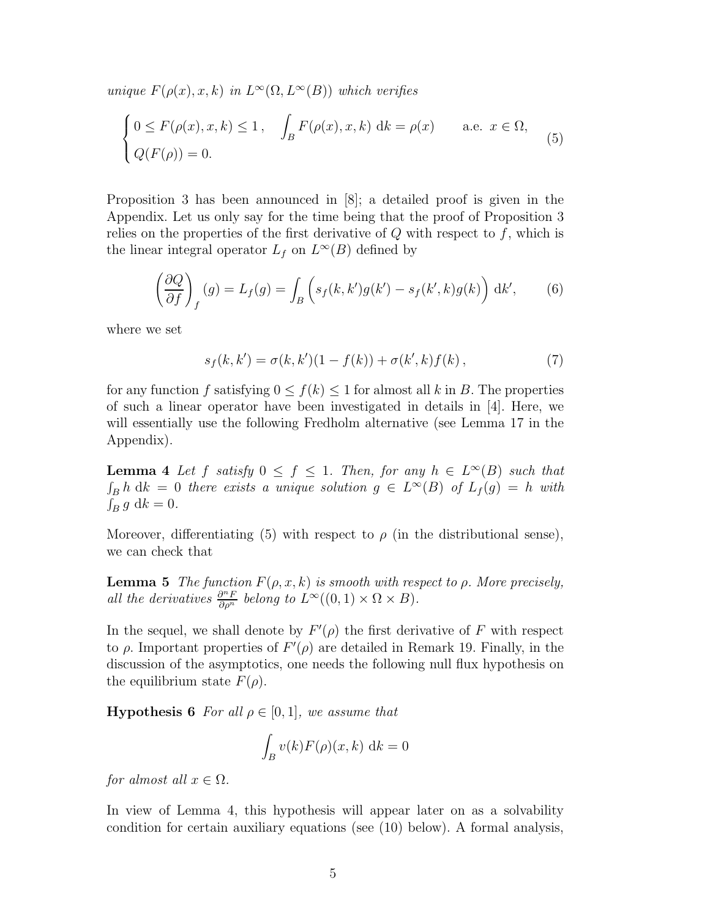unique  $F(\rho(x), x, k)$  in  $L^{\infty}(\Omega, L^{\infty}(B))$  which verifies

$$
\begin{cases}\n0 \le F(\rho(x), x, k) \le 1, & \int_B F(\rho(x), x, k) \, \mathrm{d}k = \rho(x) \quad \text{a.e. } x \in \Omega, \\
Q(F(\rho)) = 0.\n\end{cases}
$$
\n(5)

Proposition 3 has been announced in [8]; a detailed proof is given in the Appendix. Let us only say for the time being that the proof of Proposition 3 relies on the properties of the first derivative of  $Q$  with respect to  $f$ , which is the linear integral operator  $L_f$  on  $L^{\infty}(B)$  defined by

$$
\left(\frac{\partial Q}{\partial f}\right)_f(g) = L_f(g) = \int_B \left(s_f(k, k')g(k') - s_f(k', k)g(k)\right) \, \mathrm{d}k',\tag{6}
$$

where we set

$$
s_f(k, k') = \sigma(k, k')(1 - f(k)) + \sigma(k', k)f(k), \qquad (7)
$$

for any function f satisfying  $0 \le f(k) \le 1$  for almost all k in B. The properties of such a linear operator have been investigated in details in [4]. Here, we will essentially use the following Fredholm alternative (see Lemma 17 in the Appendix).

**Lemma 4** Let f satisfy  $0 \leq f \leq 1$ . Then, for any  $h \in L^{\infty}(B)$  such that  $\int_B h \, dk = 0$  there exists a unique solution  $g \in L^{\infty}(B)$  of  $L_f(g) = h$  with  $\int_B g \, \mathrm{d}k = 0.$ 

Moreover, differentiating (5) with respect to  $\rho$  (in the distributional sense), we can check that

**Lemma 5** The function  $F(\rho, x, k)$  is smooth with respect to  $\rho$ . More precisely, all the derivatives  $\frac{\partial^n F}{\partial \rho^n}$  belong to  $L^{\infty}((0,1) \times \Omega \times B)$ .

In the sequel, we shall denote by  $F'(\rho)$  the first derivative of F with respect to  $\rho$ . Important properties of  $F'(\rho)$  are detailed in Remark 19. Finally, in the discussion of the asymptotics, one needs the following null flux hypothesis on the equilibrium state  $F(\rho)$ .

**Hypothesis 6** For all  $\rho \in [0,1]$ , we assume that

$$
\int_B v(k)F(\rho)(x,k) \, \mathrm{d}k = 0
$$

for almost all  $x \in \Omega$ .

In view of Lemma 4, this hypothesis will appear later on as a solvability condition for certain auxiliary equations (see (10) below). A formal analysis,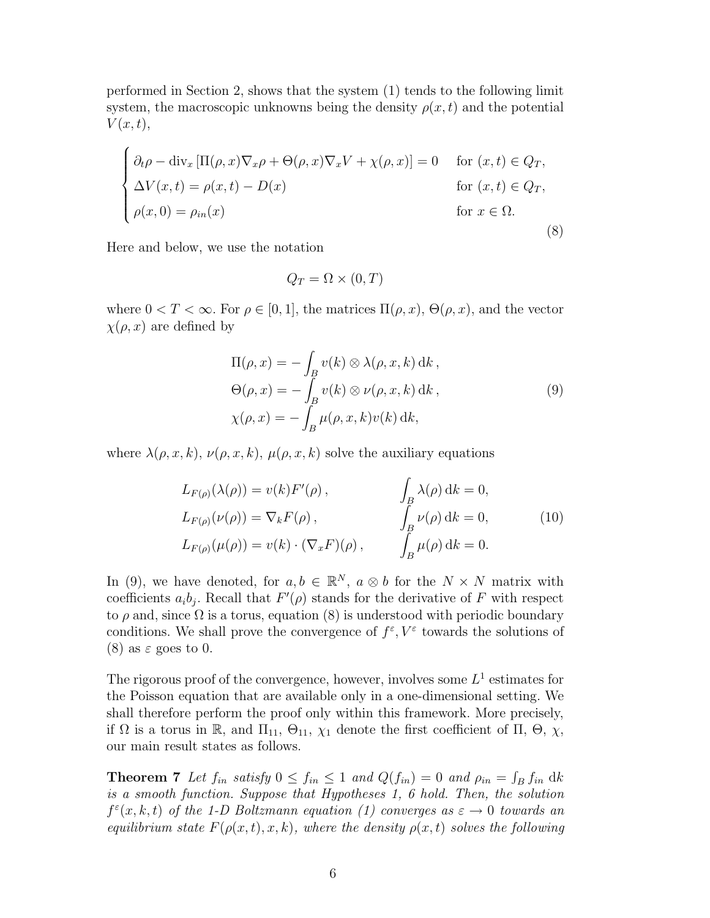performed in Section 2, shows that the system (1) tends to the following limit system, the macroscopic unknowns being the density  $\rho(x, t)$  and the potential  $V(x,t),$ 

$$
\begin{cases}\n\partial_t \rho - \text{div}_x \left[ \Pi(\rho, x) \nabla_x \rho + \Theta(\rho, x) \nabla_x V + \chi(\rho, x) \right] = 0 & \text{for } (x, t) \in Q_T, \\
\Delta V(x, t) = \rho(x, t) - D(x) & \text{for } (x, t) \in Q_T, \\
\rho(x, 0) = \rho_{in}(x) & \text{for } x \in \Omega.\n\end{cases}
$$
\n(8)

Here and below, we use the notation

$$
Q_T = \Omega \times (0, T)
$$

where  $0 < T < \infty$ . For  $\rho \in [0, 1]$ , the matrices  $\Pi(\rho, x)$ ,  $\Theta(\rho, x)$ , and the vector  $\chi(\rho, x)$  are defined by

$$
\Pi(\rho, x) = -\int_{B} v(k) \otimes \lambda(\rho, x, k) \, dk,
$$
  
\n
$$
\Theta(\rho, x) = -\int_{B} v(k) \otimes \nu(\rho, x, k) \, dk,
$$
  
\n
$$
\chi(\rho, x) = -\int_{B} \mu(\rho, x, k) \nu(k) \, dk,
$$
\n(9)

where  $\lambda(\rho, x, k)$ ,  $\nu(\rho, x, k)$ ,  $\mu(\rho, x, k)$  solve the auxiliary equations

$$
L_{F(\rho)}(\lambda(\rho)) = v(k)F'(\rho), \qquad \int_B \lambda(\rho) \, dk = 0,
$$
  
\n
$$
L_{F(\rho)}(\nu(\rho)) = \nabla_k F(\rho), \qquad \int_B \nu(\rho) \, dk = 0,
$$
  
\n
$$
L_{F(\rho)}(\mu(\rho)) = v(k) \cdot (\nabla_x F)(\rho), \qquad \int_B \mu(\rho) \, dk = 0.
$$
\n(10)

In (9), we have denoted, for  $a, b \in \mathbb{R}^N$ ,  $a \otimes b$  for the  $N \times N$  matrix with coefficients  $a_i b_j$ . Recall that  $F'(\rho)$  stands for the derivative of F with respect to  $\rho$  and, since  $\Omega$  is a torus, equation (8) is understood with periodic boundary conditions. We shall prove the convergence of  $f^{\varepsilon}, V^{\varepsilon}$  towards the solutions of (8) as  $\varepsilon$  goes to 0.

The rigorous proof of the convergence, however, involves some  $L^1$  estimates for the Poisson equation that are available only in a one-dimensional setting. We shall therefore perform the proof only within this framework. More precisely, if  $\Omega$  is a torus in R, and  $\Pi_{11}$ ,  $\Theta_{11}$ ,  $\chi_1$  denote the first coefficient of  $\Pi$ ,  $\Theta$ ,  $\chi$ , our main result states as follows.

**Theorem 7** Let  $f_{in}$  satisfy  $0 \le f_{in} \le 1$  and  $Q(f_{in}) = 0$  and  $\rho_{in} = \int_B f_{in}$  dk is a smooth function. Suppose that Hypotheses 1, 6 hold. Then, the solution  $f^{\varepsilon}(x, k, t)$  of the 1-D Boltzmann equation (1) converges as  $\varepsilon \to 0$  towards an equilibrium state  $F(\rho(x,t),x,k)$ , where the density  $\rho(x,t)$  solves the following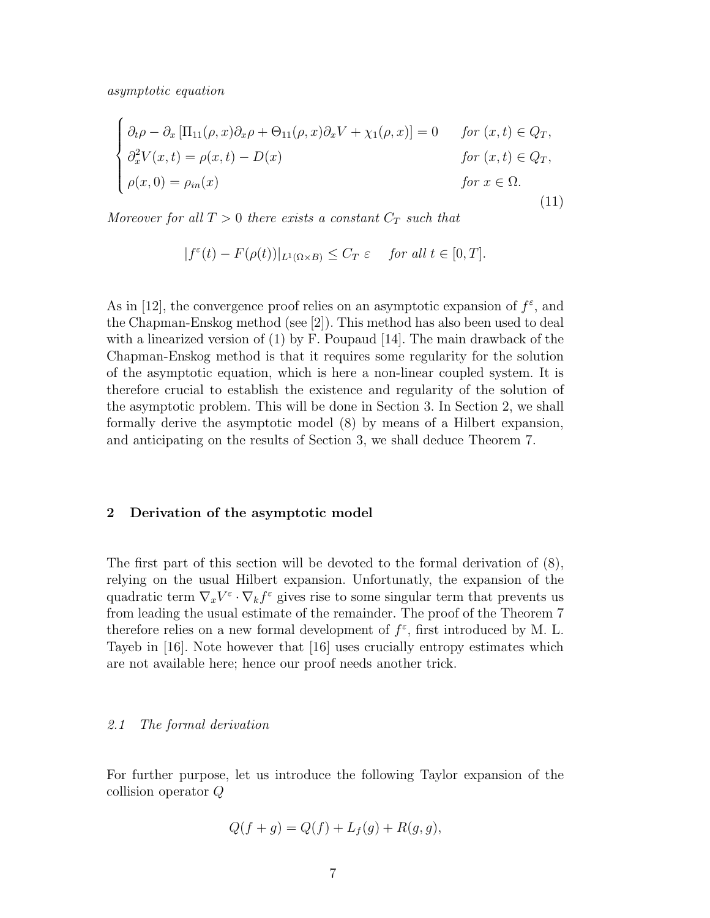asymptotic equation

$$
\begin{cases}\n\partial_t \rho - \partial_x \left[ \Pi_{11}(\rho, x) \partial_x \rho + \Theta_{11}(\rho, x) \partial_x V + \chi_1(\rho, x) \right] = 0 & \text{for } (x, t) \in Q_T, \\
\partial_x^2 V(x, t) = \rho(x, t) - D(x) & \text{for } (x, t) \in Q_T, \\
\rho(x, 0) = \rho_{in}(x) & \text{for } x \in \Omega.\n\end{cases}
$$
\n(11)

Moreover for all  $T > 0$  there exists a constant  $C_T$  such that

$$
|f^{\varepsilon}(t) - F(\rho(t))|_{L^{1}(\Omega \times B)} \leq C_T \varepsilon \quad \text{ for all } t \in [0, T].
$$

As in [12], the convergence proof relies on an asymptotic expansion of  $f^{\varepsilon}$ , and the Chapman-Enskog method (see [2]). This method has also been used to deal with a linearized version of  $(1)$  by F. Poupaud  $[14]$ . The main drawback of the Chapman-Enskog method is that it requires some regularity for the solution of the asymptotic equation, which is here a non-linear coupled system. It is therefore crucial to establish the existence and regularity of the solution of the asymptotic problem. This will be done in Section 3. In Section 2, we shall formally derive the asymptotic model (8) by means of a Hilbert expansion, and anticipating on the results of Section 3, we shall deduce Theorem 7.

#### 2 Derivation of the asymptotic model

The first part of this section will be devoted to the formal derivation of (8), relying on the usual Hilbert expansion. Unfortunatly, the expansion of the quadratic term  $\nabla_x V^{\varepsilon} \cdot \nabla_k f^{\varepsilon}$  gives rise to some singular term that prevents us from leading the usual estimate of the remainder. The proof of the Theorem 7 therefore relies on a new formal development of  $f^{\varepsilon}$ , first introduced by M. L. Tayeb in [16]. Note however that [16] uses crucially entropy estimates which are not available here; hence our proof needs another trick.

#### 2.1 The formal derivation

For further purpose, let us introduce the following Taylor expansion of the collision operator Q

$$
Q(f + g) = Q(f) + L_f(g) + R(g, g),
$$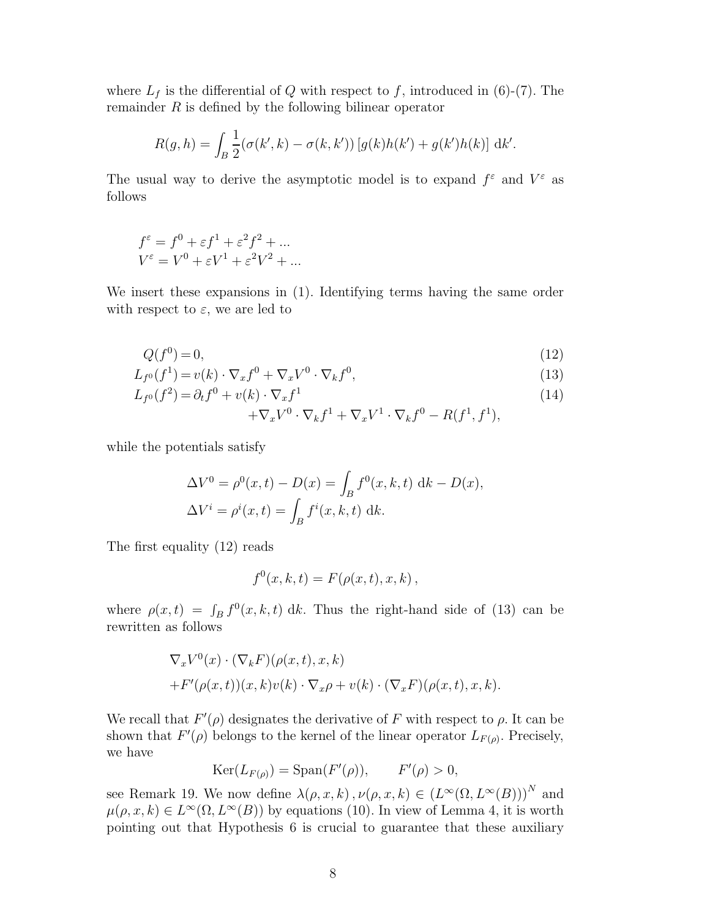where  $L_f$  is the differential of Q with respect to f, introduced in (6)-(7). The remainder  $R$  is defined by the following bilinear operator

$$
R(g, h) = \int_{B} \frac{1}{2} (\sigma(k', k) - \sigma(k, k')) [g(k)h(k') + g(k')h(k)] \, dk'.
$$

The usual way to derive the asymptotic model is to expand  $f^{\varepsilon}$  and  $V^{\varepsilon}$  as follows

$$
f^{\varepsilon} = f^{0} + \varepsilon f^{1} + \varepsilon^{2} f^{2} + \dots
$$
  

$$
V^{\varepsilon} = V^{0} + \varepsilon V^{1} + \varepsilon^{2} V^{2} + \dots
$$

We insert these expansions in (1). Identifying terms having the same order with respect to  $\varepsilon$ , we are led to

$$
Q(f^0) = 0,\tag{12}
$$

$$
L_{f^0}(f^1) = v(k) \cdot \nabla_x f^0 + \nabla_x V^0 \cdot \nabla_k f^0,
$$
\n(13)

$$
L_{f^0}(f^2) = \partial_t f^0 + v(k) \cdot \nabla_x f^1 \tag{14}
$$

$$
+\nabla_x V^0\cdot\nabla_k f^1+\nabla_x V^1\cdot\nabla_k f^0-R(f^1,f^1),
$$

while the potentials satisfy

$$
\Delta V^0 = \rho^0(x, t) - D(x) = \int_B f^0(x, k, t) \, \mathrm{d}k - D(x),
$$
  

$$
\Delta V^i = \rho^i(x, t) = \int_B f^i(x, k, t) \, \mathrm{d}k.
$$

The first equality (12) reads

$$
f^{0}(x, k, t) = F(\rho(x, t), x, k),
$$

where  $\rho(x,t) = \int_B f^0(x, k, t) \, \mathrm{d}k$ . Thus the right-hand side of (13) can be rewritten as follows

$$
\nabla_x V^0(x) \cdot (\nabla_k F)(\rho(x, t), x, k) + F'(\rho(x, t))(x, k)v(k) \cdot \nabla_x \rho + v(k) \cdot (\nabla_x F)(\rho(x, t), x, k).
$$

We recall that  $F'(\rho)$  designates the derivative of F with respect to  $\rho$ . It can be shown that  $F'(\rho)$  belongs to the kernel of the linear operator  $L_{F(\rho)}$ . Precisely, we have

$$
Ker(L_{F(\rho)}) = Span(F'(\rho)), \qquad F'(\rho) > 0,
$$

see Remark 19. We now define  $\lambda(\rho, x, k)$ ,  $\nu(\rho, x, k) \in (L^{\infty}(\Omega, L^{\infty}(B)))^N$  and  $\mu(\rho, x, k) \in L^{\infty}(\Omega, L^{\infty}(B))$  by equations (10). In view of Lemma 4, it is worth pointing out that Hypothesis 6 is crucial to guarantee that these auxiliary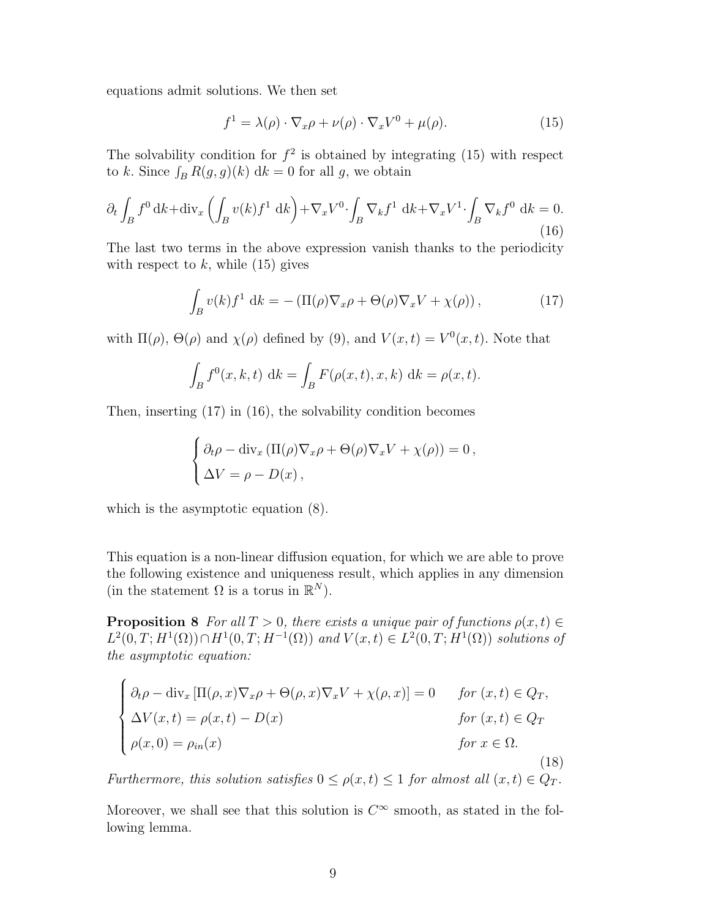equations admit solutions. We then set

$$
f^{1} = \lambda(\rho) \cdot \nabla_{x}\rho + \nu(\rho) \cdot \nabla_{x}V^{0} + \mu(\rho). \tag{15}
$$

The solvability condition for  $f^2$  is obtained by integrating (15) with respect to k. Since  $\int_B R(g, g)(k) \, dk = 0$  for all g, we obtain

$$
\partial_t \int_B f^0 \, \mathrm{d}k + \mathrm{div}_x \left( \int_B v(k) f^1 \, \mathrm{d}k \right) + \nabla_x V^0 \cdot \int_B \nabla_k f^1 \, \mathrm{d}k + \nabla_x V^1 \cdot \int_B \nabla_k f^0 \, \mathrm{d}k = 0. \tag{16}
$$

The last two terms in the above expression vanish thanks to the periodicity with respect to  $k$ , while (15) gives

$$
\int_{B} v(k) f^{1} dk = - (\Pi(\rho) \nabla_{x} \rho + \Theta(\rho) \nabla_{x} V + \chi(\rho)), \qquad (17)
$$

with  $\Pi(\rho)$ ,  $\Theta(\rho)$  and  $\chi(\rho)$  defined by (9), and  $V(x,t) = V^0(x,t)$ . Note that

$$
\int_{B} f^{0}(x, k, t) \, \mathrm{d}k = \int_{B} F(\rho(x, t), x, k) \, \mathrm{d}k = \rho(x, t).
$$

Then, inserting (17) in (16), the solvability condition becomes

$$
\begin{cases} \partial_t \rho - \mathrm{div}_x \left( \Pi(\rho) \nabla_x \rho + \Theta(\rho) \nabla_x V + \chi(\rho) \right) = 0, \\ \Delta V = \rho - D(x), \end{cases}
$$

which is the asymptotic equation (8).

This equation is a non-linear diffusion equation, for which we are able to prove the following existence and uniqueness result, which applies in any dimension (in the statement  $\Omega$  is a torus in  $\mathbb{R}^N$ ).

**Proposition 8** For all  $T > 0$ , there exists a unique pair of functions  $\rho(x, t) \in$  $L^2(0,T;H^1(\Omega)) \cap H^1(0,T;H^{-1}(\Omega))$  and  $V(x,t) \in L^2(0,T;H^1(\Omega))$  solutions of the asymptotic equation:

$$
\begin{cases}\n\partial_t \rho - \text{div}_x \left[ \Pi(\rho, x) \nabla_x \rho + \Theta(\rho, x) \nabla_x V + \chi(\rho, x) \right] = 0 & \text{for } (x, t) \in Q_T, \\
\Delta V(x, t) = \rho(x, t) - D(x) & \text{for } (x, t) \in Q_T \\
\rho(x, 0) = \rho_{in}(x) & \text{for } x \in \Omega.\n\end{cases}
$$
\n(18)

Furthermore, this solution satisfies  $0 \le \rho(x,t) \le 1$  for almost all  $(x,t) \in Q_T$ .

Moreover, we shall see that this solution is  $C^{\infty}$  smooth, as stated in the following lemma.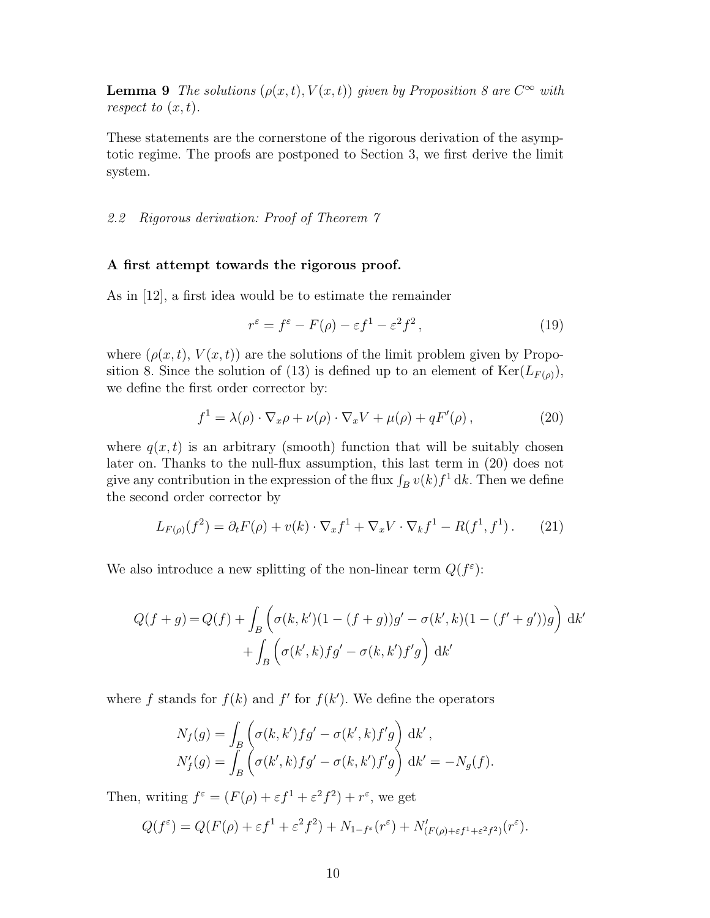**Lemma 9** The solutions  $(\rho(x,t), V(x,t))$  given by Proposition 8 are  $C^{\infty}$  with respect to  $(x, t)$ .

These statements are the cornerstone of the rigorous derivation of the asymptotic regime. The proofs are postponed to Section 3, we first derive the limit system.

# 2.2 Rigorous derivation: Proof of Theorem 7

### A first attempt towards the rigorous proof.

As in [12], a first idea would be to estimate the remainder

$$
r^{\varepsilon} = f^{\varepsilon} - F(\rho) - \varepsilon f^1 - \varepsilon^2 f^2, \qquad (19)
$$

where  $(\rho(x,t), V(x,t))$  are the solutions of the limit problem given by Proposition 8. Since the solution of (13) is defined up to an element of  $\text{Ker}(L_{F(\rho)}),$ we define the first order corrector by:

$$
f^{1} = \lambda(\rho) \cdot \nabla_{x}\rho + \nu(\rho) \cdot \nabla_{x}V + \mu(\rho) + qF'(\rho), \qquad (20)
$$

where  $q(x, t)$  is an arbitrary (smooth) function that will be suitably chosen later on. Thanks to the null-flux assumption, this last term in (20) does not give any contribution in the expression of the flux  $\int_B v(k) f^1 dk$ . Then we define the second order corrector by

$$
L_{F(\rho)}(f^2) = \partial_t F(\rho) + v(k) \cdot \nabla_x f^1 + \nabla_x V \cdot \nabla_k f^1 - R(f^1, f^1). \tag{21}
$$

We also introduce a new splitting of the non-linear term  $Q(f^{\varepsilon})$ :

$$
Q(f+g) = Q(f) + \int_{B} \left( \sigma(k, k')(1 - (f+g))g' - \sigma(k', k)(1 - (f'+g'))g \right) dk' + \int_{B} \left( \sigma(k', k)fg' - \sigma(k, k')f'g \right) dk'
$$

where f stands for  $f(k)$  and f' for  $f(k')$ . We define the operators

$$
N_f(g) = \int_B \left( \sigma(k, k') f g' - \sigma(k', k) f' g \right) dk',
$$
  
\n
$$
N'_f(g) = \int_B \left( \sigma(k', k) f g' - \sigma(k, k') f' g \right) dk' = -N_g(f).
$$

Then, writing  $f^{\varepsilon} = (F(\rho) + \varepsilon f^1 + \varepsilon^2 f^2) + r^{\varepsilon}$ , we get

$$
Q(f^{\varepsilon}) = Q(F(\rho) + \varepsilon f^1 + \varepsilon^2 f^2) + N_{1-f^{\varepsilon}}(r^{\varepsilon}) + N'_{(F(\rho) + \varepsilon f^1 + \varepsilon^2 f^2)}(r^{\varepsilon}).
$$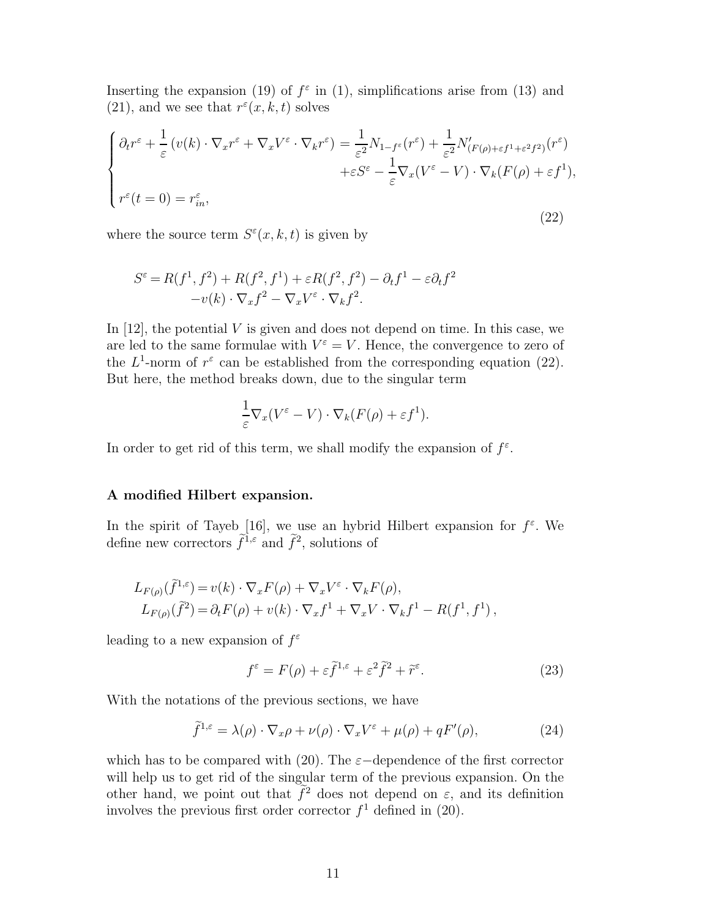Inserting the expansion (19) of  $f^{\varepsilon}$  in (1), simplifications arise from (13) and (21), and we see that  $r^{\epsilon}(x, k, t)$  solves

$$
\begin{cases} \partial_t r^{\varepsilon} + \frac{1}{\varepsilon} \left( v(k) \cdot \nabla_x r^{\varepsilon} + \nabla_x V^{\varepsilon} \cdot \nabla_k r^{\varepsilon} \right) = \frac{1}{\varepsilon^2} N_{1-f^{\varepsilon}}(r^{\varepsilon}) + \frac{1}{\varepsilon^2} N'_{(F(\rho) + \varepsilon f^1 + \varepsilon^2 f^2)}(r^{\varepsilon}) \\ + \varepsilon S^{\varepsilon} - \frac{1}{\varepsilon} \nabla_x (V^{\varepsilon} - V) \cdot \nabla_k (F(\rho) + \varepsilon f^1), \\ r^{\varepsilon}(t = 0) = r^{\varepsilon}_{in}, \end{cases}
$$
\n(22)

where the source term  $S^{\varepsilon}(x, k, t)$  is given by

$$
S^{\varepsilon} = R(f^1, f^2) + R(f^2, f^1) + \varepsilon R(f^2, f^2) - \partial_t f^1 - \varepsilon \partial_t f^2
$$

$$
-v(k) \cdot \nabla_x f^2 - \nabla_x V^{\varepsilon} \cdot \nabla_k f^2.
$$

In  $[12]$ , the potential V is given and does not depend on time. In this case, we are led to the same formulae with  $V^{\varepsilon} = V$ . Hence, the convergence to zero of the  $L^1$ -norm of  $r^{\varepsilon}$  can be established from the corresponding equation (22). But here, the method breaks down, due to the singular term

$$
\frac{1}{\varepsilon} \nabla_x (V^{\varepsilon} - V) \cdot \nabla_k (F(\rho) + \varepsilon f^1).
$$

In order to get rid of this term, we shall modify the expansion of  $f^{\varepsilon}$ .

#### A modified Hilbert expansion.

In the spirit of Tayeb [16], we use an hybrid Hilbert expansion for  $f^{\varepsilon}$ . We define new correctors  $\hat{f}^{1,\varepsilon}$  and  $\hat{f}^2$ , solutions of

$$
L_{F(\rho)}(\tilde{f}^{1,\varepsilon}) = v(k) \cdot \nabla_x F(\rho) + \nabla_x V^{\varepsilon} \cdot \nabla_k F(\rho),
$$
  
\n
$$
L_{F(\rho)}(\tilde{f}^2) = \partial_t F(\rho) + v(k) \cdot \nabla_x f^1 + \nabla_x V \cdot \nabla_k f^1 - R(f^1, f^1),
$$

leading to a new expansion of  $f^{\varepsilon}$ 

$$
f^{\varepsilon} = F(\rho) + \varepsilon \tilde{f}^{1,\varepsilon} + \varepsilon^2 \tilde{f}^2 + \tilde{r}^{\varepsilon}.
$$
 (23)

With the notations of the previous sections, we have

$$
\tilde{f}^{1,\varepsilon} = \lambda(\rho) \cdot \nabla_x \rho + \nu(\rho) \cdot \nabla_x V^{\varepsilon} + \mu(\rho) + qF'(\rho), \tag{24}
$$

which has to be compared with (20). The  $\varepsilon$ -dependence of the first corrector will help us to get rid of the singular term of the previous expansion. On the other hand, we point out that  $\hat{f}^2$  does not depend on  $\varepsilon$ , and its definition involves the previous first order corrector  $f<sup>1</sup>$  defined in (20).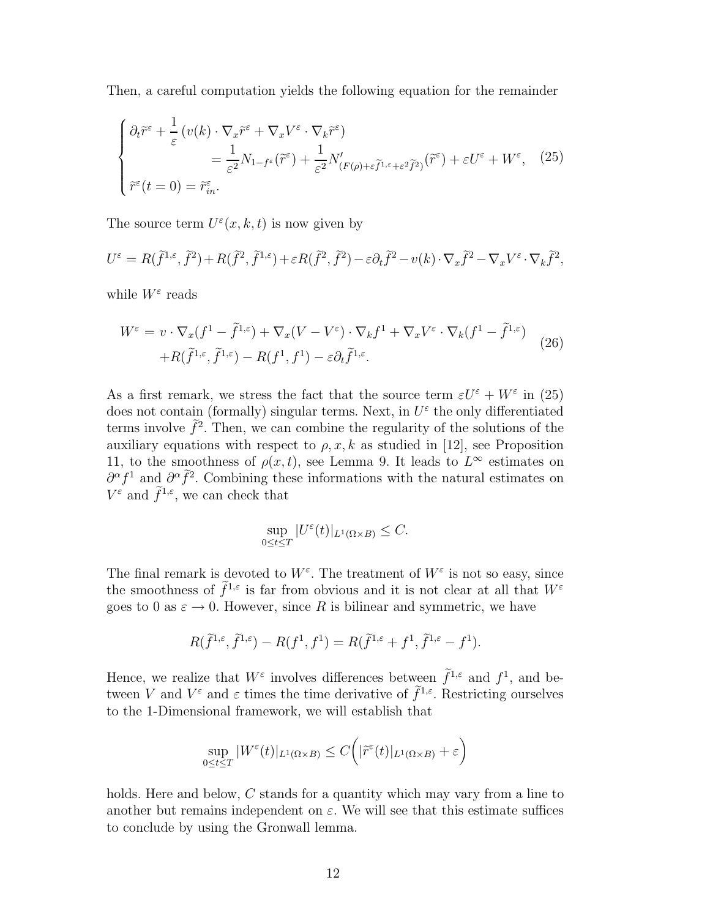Then, a careful computation yields the following equation for the remainder

$$
\begin{cases}\n\partial_t \tilde{r}^{\varepsilon} + \frac{1}{\varepsilon} \left( v(k) \cdot \nabla_x \tilde{r}^{\varepsilon} + \nabla_x V^{\varepsilon} \cdot \nabla_k \tilde{r}^{\varepsilon} \right) \\
= \frac{1}{\varepsilon^2} N_{1-f^{\varepsilon}} (\tilde{r}^{\varepsilon}) + \frac{1}{\varepsilon^2} N'_{(F(\rho) + \varepsilon \tilde{f}^{1,\varepsilon} + \varepsilon^2 \tilde{f}^2)} (\tilde{r}^{\varepsilon}) + \varepsilon U^{\varepsilon} + W^{\varepsilon}, \quad (25) \\
\tilde{r}^{\varepsilon}(t=0) = \tilde{r}^{\varepsilon}_{in}.\n\end{cases}
$$

The source term  $U^{\varepsilon}(x, k, t)$  is now given by

$$
U^{\varepsilon} = R(\tilde{f}^{1,\varepsilon}, \tilde{f}^{2}) + R(\tilde{f}^{2}, \tilde{f}^{1,\varepsilon}) + \varepsilon R(\tilde{f}^{2}, \tilde{f}^{2}) - \varepsilon \partial_{t} \tilde{f}^{2} - v(k) \cdot \nabla_{x} \tilde{f}^{2} - \nabla_{x} V^{\varepsilon} \cdot \nabla_{k} \tilde{f}^{2},
$$

while  $W^{\varepsilon}$  reads

$$
W^{\varepsilon} = v \cdot \nabla_x (f^1 - \tilde{f}^{1,\varepsilon}) + \nabla_x (V - V^{\varepsilon}) \cdot \nabla_k f^1 + \nabla_x V^{\varepsilon} \cdot \nabla_k (f^1 - \tilde{f}^{1,\varepsilon})
$$
  
+
$$
R(\tilde{f}^{1,\varepsilon}, \tilde{f}^{1,\varepsilon}) - R(f^1, f^1) - \varepsilon \partial_t \tilde{f}^{1,\varepsilon}.
$$
 (26)

As a first remark, we stress the fact that the source term  $\varepsilon U^{\varepsilon} + W^{\varepsilon}$  in (25) does not contain (formally) singular terms. Next, in  $U^{\varepsilon}$  the only differentiated terms involve  $\hat{f}^2$ . Then, we can combine the regularity of the solutions of the auxiliary equations with respect to  $\rho, x, k$  as studied in [12], see Proposition 11, to the smoothness of  $\rho(x,t)$ , see Lemma 9. It leads to  $L^{\infty}$  estimates on  $\partial^{\alpha} f^1$  and  $\partial^{\alpha} \tilde{f}^2$ . Combining these informations with the natural estimates on  $V^{\varepsilon}$  and  $\tilde{f}^{1,\varepsilon}$ , we can check that

$$
\sup_{0\leq t\leq T}|U^{\varepsilon}(t)|_{L^{1}(\Omega\times B)}\leq C.
$$

The final remark is devoted to  $W^{\varepsilon}$ . The treatment of  $W^{\varepsilon}$  is not so easy, since the smoothness of  $f^{1,\varepsilon}$  is far from obvious and it is not clear at all that  $W^{\varepsilon}$ goes to 0 as  $\varepsilon \to 0$ . However, since R is bilinear and symmetric, we have

$$
R(\tilde{f}^{1,\varepsilon}, \tilde{f}^{1,\varepsilon}) - R(f^1, f^1) = R(\tilde{f}^{1,\varepsilon} + f^1, \tilde{f}^{1,\varepsilon} - f^1).
$$

Hence, we realize that  $W^{\varepsilon}$  involves differences between  $\tilde{f}^{1,\varepsilon}$  and  $f^{1}$ , and between V and  $V^{\varepsilon}$  and  $\varepsilon$  times the time derivative of  $\tilde{f}^{1,\varepsilon}$ . Restricting ourselves to the 1-Dimensional framework, we will establish that

$$
\sup_{0\leq t\leq T}|W^\varepsilon(t)|_{L^1(\Omega\times B)}\leq C\Big(|\widetilde r^\varepsilon(t)|_{L^1(\Omega\times B)}+\varepsilon\Big)
$$

holds. Here and below, C stands for a quantity which may vary from a line to another but remains independent on  $\varepsilon$ . We will see that this estimate suffices to conclude by using the Gronwall lemma.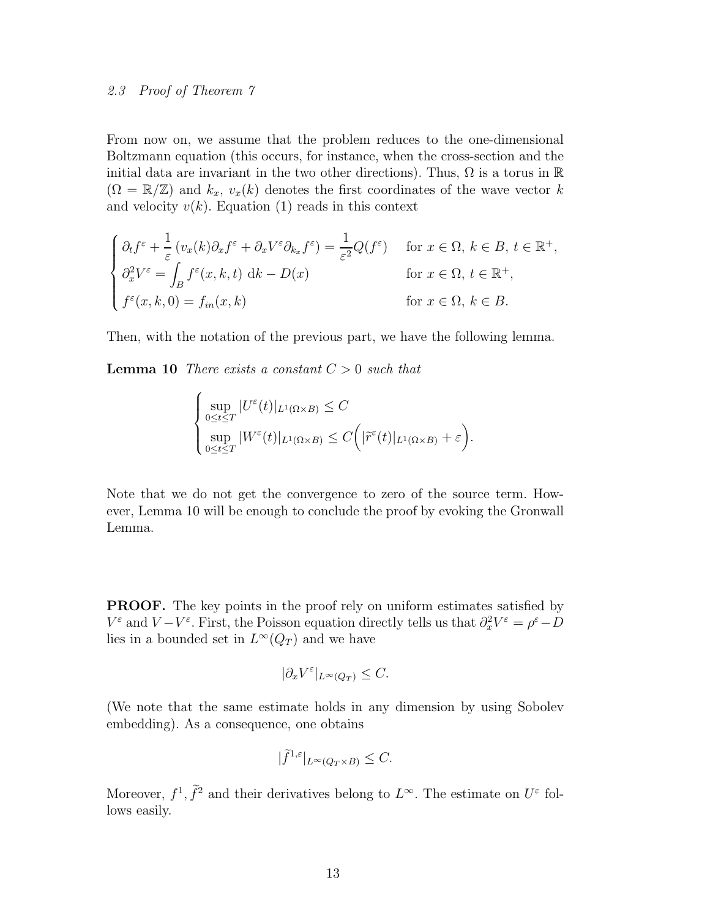# 2.3 Proof of Theorem 7

From now on, we assume that the problem reduces to the one-dimensional Boltzmann equation (this occurs, for instance, when the cross-section and the initial data are invariant in the two other directions). Thus,  $\Omega$  is a torus in  $\mathbb R$  $(\Omega = \mathbb{R}/\mathbb{Z})$  and  $k_x$ ,  $v_x(k)$  denotes the first coordinates of the wave vector k and velocity  $v(k)$ . Equation (1) reads in this context

$$
\begin{cases} \partial_t f^{\varepsilon} + \frac{1}{\varepsilon} (v_x(k)\partial_x f^{\varepsilon} + \partial_x V^{\varepsilon} \partial_{k_x} f^{\varepsilon}) = \frac{1}{\varepsilon^2} Q(f^{\varepsilon}) & \text{for } x \in \Omega, \, k \in B, \, t \in \mathbb{R}^+, \\ \partial_x^2 V^{\varepsilon} = \int_B f^{\varepsilon}(x, k, t) \, \mathrm{d}k - D(x) & \text{for } x \in \Omega, \, t \in \mathbb{R}^+, \\ f^{\varepsilon}(x, k, 0) = f_{in}(x, k) & \text{for } x \in \Omega, \, k \in B. \end{cases}
$$

Then, with the notation of the previous part, we have the following lemma.

**Lemma 10** There exists a constant  $C > 0$  such that

 $\overline{\phantom{a}}$ 

$$
\begin{cases} \sup_{0 \le t \le T} |U^{\varepsilon}(t)|_{L^{1}(\Omega \times B)} \le C \\ \sup_{0 \le t \le T} |W^{\varepsilon}(t)|_{L^{1}(\Omega \times B)} \le C \Big( |\widetilde{r}^{\varepsilon}(t)|_{L^{1}(\Omega \times B)} + \varepsilon \Big). \end{cases}
$$

Note that we do not get the convergence to zero of the source term. However, Lemma 10 will be enough to conclude the proof by evoking the Gronwall Lemma.

PROOF. The key points in the proof rely on uniform estimates satisfied by  $V^{\varepsilon}$  and  $V - V^{\varepsilon}$ . First, the Poisson equation directly tells us that  $\partial_x^2 V^{\varepsilon} = \rho^{\varepsilon} - D$ lies in a bounded set in  $L^{\infty}(Q_T)$  and we have

$$
|\partial_x V^{\varepsilon}|_{L^{\infty}(Q_T)} \leq C.
$$

(We note that the same estimate holds in any dimension by using Sobolev embedding). As a consequence, one obtains

$$
|\tilde{f}^{1,\varepsilon}|_{L^{\infty}(Q_T \times B)} \leq C.
$$

Moreover,  $f^1$ ,  $\tilde{f}^2$  and their derivatives belong to  $L^{\infty}$ . The estimate on  $U^{\varepsilon}$  follows easily.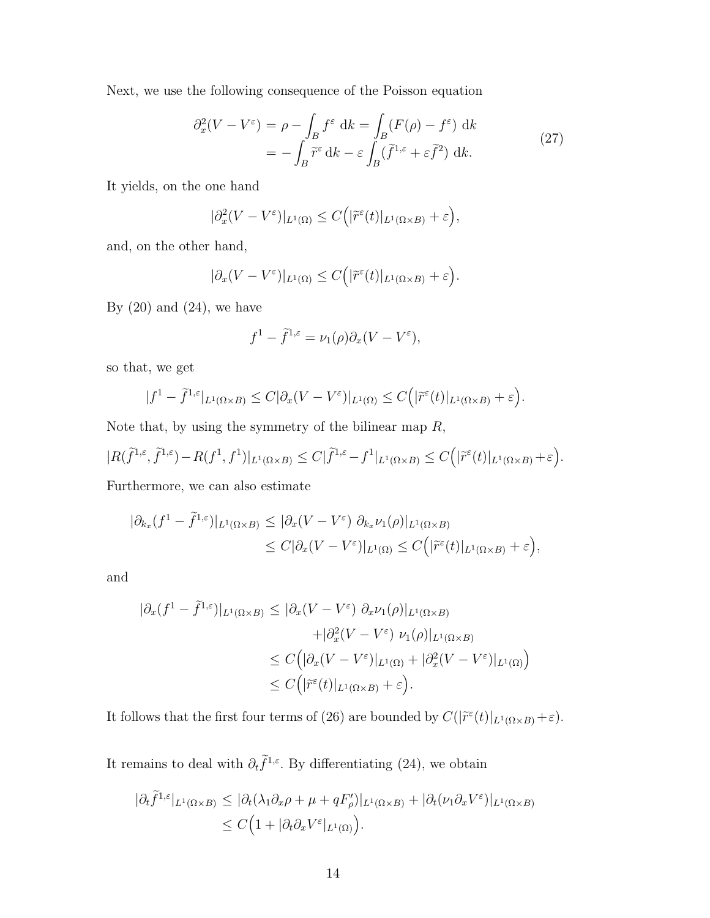Next, we use the following consequence of the Poisson equation

$$
\partial_x^2 (V - V^{\varepsilon}) = \rho - \int_B f^{\varepsilon} dk = \int_B (F(\rho) - f^{\varepsilon}) dk
$$
  
= 
$$
- \int_B \widetilde{r}^{\varepsilon} dk - \varepsilon \int_B (\widetilde{f}^{1,\varepsilon} + \varepsilon \widetilde{f}^2) dk.
$$
 (27)

It yields, on the one hand

$$
|\partial_x^2 (V - V^{\varepsilon})|_{L^1(\Omega)} \le C(|\widetilde{r}^{\varepsilon}(t)|_{L^1(\Omega \times B)} + \varepsilon),
$$

and, on the other hand,

$$
|\partial_x (V - V^{\varepsilon})|_{L^1(\Omega)} \le C(|\widetilde{r}^{\varepsilon}(t)|_{L^1(\Omega \times B)} + \varepsilon).
$$

By  $(20)$  and  $(24)$ , we have

$$
f^1 - \tilde{f}^{1,\varepsilon} = \nu_1(\rho)\partial_x(V - V^{\varepsilon}),
$$

so that, we get

$$
|f^1 - \tilde{f}^{1,\varepsilon}|_{L^1(\Omega \times B)} \le C|\partial_x(V - V^{\varepsilon})|_{L^1(\Omega)} \le C(|\tilde{r}^{\varepsilon}(t)|_{L^1(\Omega \times B)} + \varepsilon).
$$

Note that, by using the symmetry of the bilinear map  $R$ ,

$$
|R(\tilde{f}^{1,\varepsilon},\tilde{f}^{1,\varepsilon})-R(f^1,f^1)|_{L^1(\Omega\times B)}\leq C|\tilde{f}^{1,\varepsilon}-f^1|_{L^1(\Omega\times B)}\leq C\Big(|\tilde{r}^\varepsilon(t)|_{L^1(\Omega\times B)}+\varepsilon\Big).
$$

Furthermore, we can also estimate

$$
\begin{aligned} |\partial_{k_x}(f^1 - \tilde{f}^{1,\varepsilon})|_{L^1(\Omega \times B)} &\leq |\partial_x(V - V^{\varepsilon})| \partial_{k_x} \nu_1(\rho)|_{L^1(\Omega \times B)} \\ &\leq C |\partial_x(V - V^{\varepsilon})|_{L^1(\Omega)} \leq C \Big( |\tilde{r}^{\varepsilon}(t)|_{L^1(\Omega \times B)} + \varepsilon \Big), \end{aligned}
$$

and

$$
\begin{aligned} |\partial_x (f^1 - \tilde{f}^{1,\varepsilon})|_{L^1(\Omega \times B)} &\leq |\partial_x (V - V^{\varepsilon}) \partial_x \nu_1(\rho)|_{L^1(\Omega \times B)} \\ &+ |\partial_x^2 (V - V^{\varepsilon}) \nu_1(\rho)|_{L^1(\Omega \times B)} \\ &\leq C \Big( |\partial_x (V - V^{\varepsilon})|_{L^1(\Omega)} + |\partial_x^2 (V - V^{\varepsilon})|_{L^1(\Omega)} \Big) \\ &\leq C \Big( |\tilde{r}^{\varepsilon}(t)|_{L^1(\Omega \times B)} + \varepsilon \Big). \end{aligned}
$$

It follows that the first four terms of (26) are bounded by  $C(|\tilde{r}^{\varepsilon}(t)|_{L^{1}(\Omega \times B)} + \varepsilon)$ .

It remains to deal with  $\partial_t \hat{f}^{1,\varepsilon}$ . By differentiating (24), we obtain

$$
\begin{aligned} |\partial_t \hat{f}^{1,\varepsilon}|_{L^1(\Omega \times B)} &\leq |\partial_t (\lambda_1 \partial_x \rho + \mu + qF_\rho')|_{L^1(\Omega \times B)} + |\partial_t (\nu_1 \partial_x V^\varepsilon)|_{L^1(\Omega \times B)} \\ &\leq C \Big( 1 + |\partial_t \partial_x V^\varepsilon|_{L^1(\Omega)} \Big). \end{aligned}
$$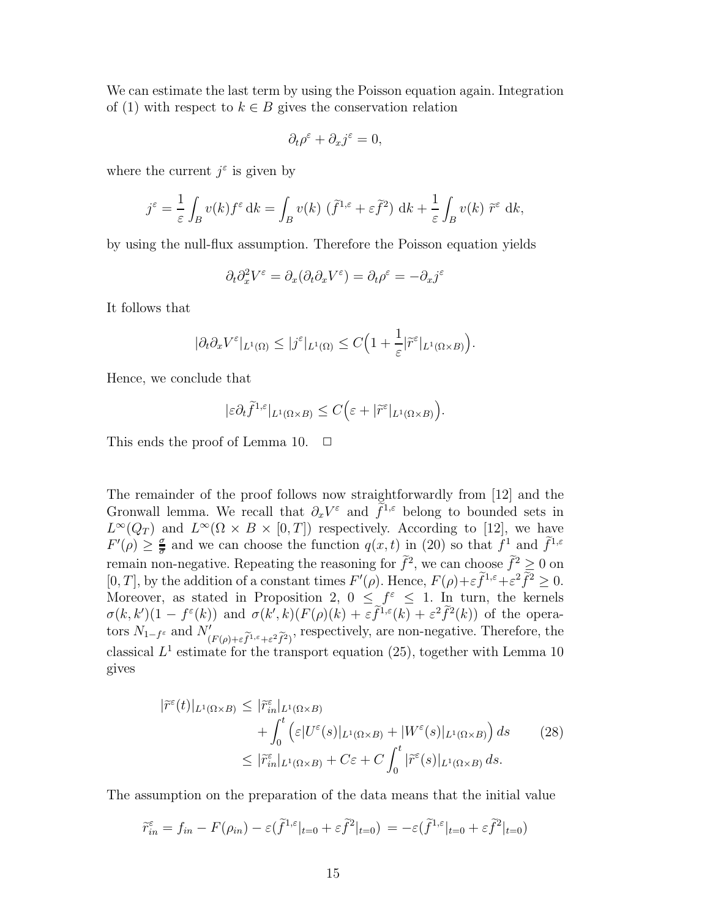We can estimate the last term by using the Poisson equation again. Integration of (1) with respect to  $k \in B$  gives the conservation relation

$$
\partial_t \rho^{\varepsilon} + \partial_x j^{\varepsilon} = 0,
$$

where the current  $j^{\varepsilon}$  is given by

$$
j^{\varepsilon} = \frac{1}{\varepsilon} \int_B v(k) f^{\varepsilon} dk = \int_B v(k) (\tilde{f}^{1,\varepsilon} + \varepsilon \tilde{f}^2) dk + \frac{1}{\varepsilon} \int_B v(k) \tilde{r}^{\varepsilon} dk,
$$

by using the null-flux assumption. Therefore the Poisson equation yields

$$
\partial_t \partial_x^2 V^\varepsilon = \partial_x (\partial_t \partial_x V^\varepsilon) = \partial_t \rho^\varepsilon = - \partial_x j^\varepsilon
$$

It follows that

$$
|\partial_t \partial_x V^{\varepsilon}|_{L^1(\Omega)} \leq |j^{\varepsilon}|_{L^1(\Omega)} \leq C \Big( 1 + \frac{1}{\varepsilon} |\widetilde{r}^{\varepsilon}|_{L^1(\Omega \times B)} \Big).
$$

Hence, we conclude that

$$
|\varepsilon \partial_t \tilde{f}^{1,\varepsilon}|_{L^1(\Omega \times B)} \leq C \Big(\varepsilon + |\tilde{r}^\varepsilon|_{L^1(\Omega \times B)}\Big).
$$

This ends the proof of Lemma 10.  $\Box$ 

The remainder of the proof follows now straightforwardly from [12] and the Gronwall lemma. We recall that  $\partial_x V^\varepsilon$  and  $\tilde{f}^{1,\varepsilon}$  belong to bounded sets in  $L^{\infty}(Q_T)$  and  $L^{\infty}(\Omega \times B \times [0,T])$  respectively. According to [12], we have  $F'(\rho) \geq \frac{\sigma}{\overline{\sigma}}$  $\frac{\sigma}{\sigma}$  and we can choose the function  $q(x,t)$  in (20) so that  $f^1$  and  $f^{1,\varepsilon}$ remain non-negative. Repeating the reasoning for  $\tilde{f}^2$ , we can choose  $\tilde{f}^2 \geq 0$  on [0, T], by the addition of a constant times  $F'(\rho)$ . Hence,  $F(\rho)+\varepsilon \tilde{f}^{1,\varepsilon}+\varepsilon^2 \tilde{f}^2 \geq 0$ . Moreover, as stated in Proposition 2,  $0 \leq f^{\varepsilon} \leq 1$ . In turn, the kernels  $\sigma(k,k')(1-f^{\varepsilon}(k))$  and  $\sigma(k',k)(F(\rho)(k)+\varepsilon\tilde{f}^{1,\varepsilon}(k)+\varepsilon^2\tilde{f}^2(k))$  of the operators  $N_{1-f^{\varepsilon}}$  and  $N'_{(F(\rho)+\varepsilon\widetilde{f}^{1,\varepsilon}+\varepsilon^2\widetilde{f}^2)},$  respectively, are non-negative. Therefore, the classical  $L^1$  estimate for the transport equation (25), together with Lemma 10 gives

$$
|\tilde{r}^{\varepsilon}(t)|_{L^{1}(\Omega\times B)} \leq |\tilde{r}^{\varepsilon}_{in}|_{L^{1}(\Omega\times B)} + \int_{0}^{t} \left(\varepsilon |U^{\varepsilon}(s)|_{L^{1}(\Omega\times B)} + |W^{\varepsilon}(s)|_{L^{1}(\Omega\times B)}\right) ds \leq |\tilde{r}^{\varepsilon}_{in}|_{L^{1}(\Omega\times B)} + C\varepsilon + C \int_{0}^{t} |\tilde{r}^{\varepsilon}(s)|_{L^{1}(\Omega\times B)} ds.
$$
\n(28)

The assumption on the preparation of the data means that the initial value

$$
\widetilde{r}_{in}^{\varepsilon} = f_{in} - F(\rho_{in}) - \varepsilon (\widetilde{f}^{1,\varepsilon}|_{t=0} + \varepsilon \widetilde{f}^{2}|_{t=0}) = -\varepsilon (\widetilde{f}^{1,\varepsilon}|_{t=0} + \varepsilon \widetilde{f}^{2}|_{t=0})
$$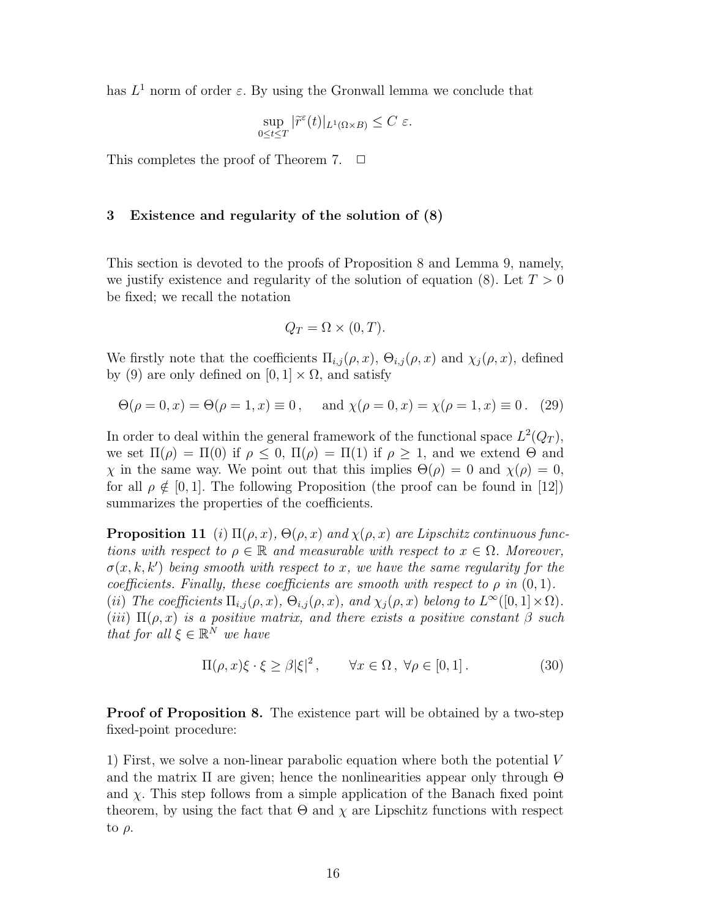has  $L^1$  norm of order  $\varepsilon$ . By using the Gronwall lemma we conclude that

$$
\sup_{0\leq t\leq T}|\widetilde{r}^{\varepsilon}(t)|_{L^{1}(\Omega\times B)}\leq C\,\,\varepsilon.
$$

This completes the proof of Theorem 7.  $\Box$ 

### 3 Existence and regularity of the solution of (8)

This section is devoted to the proofs of Proposition 8 and Lemma 9, namely, we justify existence and regularity of the solution of equation (8). Let  $T > 0$ be fixed; we recall the notation

$$
Q_T = \Omega \times (0, T).
$$

We firstly note that the coefficients  $\Pi_{i,j}(\rho, x)$ ,  $\Theta_{i,j}(\rho, x)$  and  $\chi_j(\rho, x)$ , defined by (9) are only defined on  $[0, 1] \times \Omega$ , and satisfy

$$
\Theta(\rho = 0, x) = \Theta(\rho = 1, x) \equiv 0
$$
, and  $\chi(\rho = 0, x) = \chi(\rho = 1, x) \equiv 0$ . (29)

In order to deal within the general framework of the functional space  $L^2(Q_T)$ , we set  $\Pi(\rho) = \Pi(0)$  if  $\rho \leq 0$ ,  $\Pi(\rho) = \Pi(1)$  if  $\rho \geq 1$ , and we extend  $\Theta$  and  $\chi$  in the same way. We point out that this implies  $\Theta(\rho) = 0$  and  $\chi(\rho) = 0$ , for all  $\rho \notin [0, 1]$ . The following Proposition (the proof can be found in [12]) summarizes the properties of the coefficients.

**Proposition 11** (i)  $\Pi(\rho, x)$ ,  $\Theta(\rho, x)$  and  $\chi(\rho, x)$  are Lipschitz continuous functions with respect to  $\rho \in \mathbb{R}$  and measurable with respect to  $x \in \Omega$ . Moreover,  $\sigma(x, k, k')$  being smooth with respect to x, we have the same regularity for the coefficients. Finally, these coefficients are smooth with respect to  $\rho$  in  $(0, 1)$ . (ii) The coefficients  $\Pi_{i,j}(\rho,x)$ ,  $\Theta_{i,j}(\rho,x)$ , and  $\chi_j(\rho,x)$  belong to  $L^{\infty}([0,1] \times \Omega)$ . (iii)  $\Pi(\rho, x)$  is a positive matrix, and there exists a positive constant  $\beta$  such that for all  $\xi \in \mathbb{R}^N$  we have

$$
\Pi(\rho, x)\xi \cdot \xi \ge \beta |\xi|^2, \qquad \forall x \in \Omega, \ \forall \rho \in [0, 1]. \tag{30}
$$

Proof of Proposition 8. The existence part will be obtained by a two-step fixed-point procedure:

1) First, we solve a non-linear parabolic equation where both the potential V and the matrix  $\Pi$  are given; hence the nonlinearities appear only through  $\Theta$ and  $\chi$ . This step follows from a simple application of the Banach fixed point theorem, by using the fact that  $\Theta$  and  $\chi$  are Lipschitz functions with respect to  $\rho$ .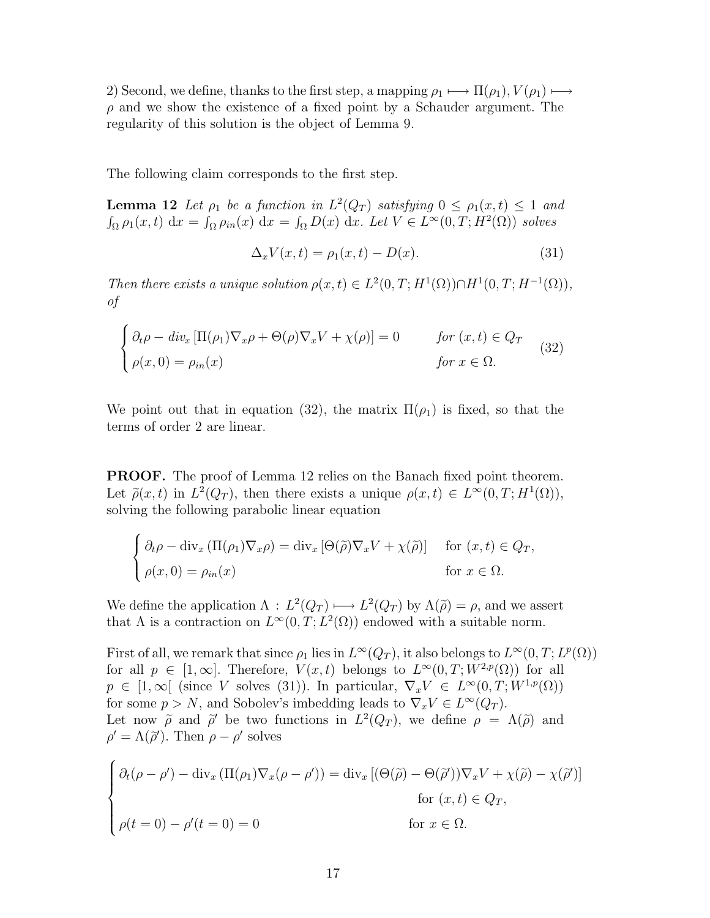2) Second, we define, thanks to the first step, a mapping  $\rho_1 \longmapsto \Pi(\rho_1), V(\rho_1) \longmapsto$  $\rho$  and we show the existence of a fixed point by a Schauder argument. The regularity of this solution is the object of Lemma 9.

The following claim corresponds to the first step.

**Lemma 12** Let  $\rho_1$  be a function in  $L^2(Q_T)$  satisfying  $0 \le \rho_1(x,t) \le 1$  and  $\int_{\Omega} \rho_1(x,t) dx = \int_{\Omega} \rho_{in}(x) dx = \int_{\Omega} D(x) dx$ . Let  $V \in L^{\infty}(0,T; H^2(\Omega))$  solves

$$
\Delta_x V(x,t) = \rho_1(x,t) - D(x). \tag{31}
$$

Then there exists a unique solution  $\rho(x,t) \in L^2(0,T; H^1(\Omega)) \cap H^1(0,T; H^{-1}(\Omega)),$ of

$$
\begin{cases}\n\partial_t \rho - \operatorname{div}_x \left[ \Pi(\rho_1) \nabla_x \rho + \Theta(\rho) \nabla_x V + \chi(\rho) \right] = 0 & \text{for } (x, t) \in Q_T \\
\rho(x, 0) = \rho_{in}(x) & \text{for } x \in \Omega.\n\end{cases}
$$
\n(32)

We point out that in equation (32), the matrix  $\Pi(\rho_1)$  is fixed, so that the terms of order 2 are linear.

PROOF. The proof of Lemma 12 relies on the Banach fixed point theorem. Let  $\tilde{\rho}(x,t)$  in  $L^2(Q_T)$ , then there exists a unique  $\rho(x,t) \in L^{\infty}(0,T;H^1(\Omega)),$ solving the following parabolic linear equation

$$
\begin{cases} \partial_t \rho - \text{div}_x \left( \Pi(\rho_1) \nabla_x \rho \right) = \text{div}_x \left[ \Theta(\tilde{\rho}) \nabla_x V + \chi(\tilde{\rho}) \right] & \text{for } (x, t) \in Q_T, \\ \rho(x, 0) = \rho_{in}(x) & \text{for } x \in \Omega. \end{cases}
$$

We define the application  $\Lambda : L^2(Q_T) \longmapsto L^2(Q_T)$  by  $\Lambda(\tilde{\rho}) = \rho$ , and we assert that  $\Lambda$  is a contraction on  $L^{\infty}(0,T; L^{2}(\Omega))$  endowed with a suitable norm.

First of all, we remark that since  $\rho_1$  lies in  $L^{\infty}(Q_T)$ , it also belongs to  $L^{\infty}(0,T; L^p(\Omega))$ for all  $p \in [1,\infty]$ . Therefore,  $V(x,t)$  belongs to  $L^{\infty}(0,T;W^{2,p}(\Omega))$  for all  $p \in [1,\infty[$  (since V solves (31)). In particular,  $\nabla_x V \in L^{\infty}(0,T;W^{1,p}(\Omega))$ for some  $p > N$ , and Sobolev's imbedding leads to  $\nabla_x V \in L^{\infty}(Q_T)$ . Let now  $\tilde{\rho}$  and  $\tilde{\rho}'$  be two functions in  $L^2(Q_T)$ , we define  $\rho = \Lambda(\tilde{\rho})$  and  $\rho' = \Lambda(\tilde{\rho}')$ . Then  $\rho - \rho'$  solves

$$
\begin{cases} \partial_t(\rho - \rho') - \operatorname{div}_x(\Pi(\rho_1)\nabla_x(\rho - \rho')) = \operatorname{div}_x [(\Theta(\tilde{\rho}) - \Theta(\tilde{\rho}'))\nabla_x V + \chi(\tilde{\rho}) - \chi(\tilde{\rho}')] \\ \text{for } (x, t) \in Q_T, \\ \rho(t = 0) - \rho'(t = 0) = 0 \end{cases}
$$
 for  $x \in \Omega$ .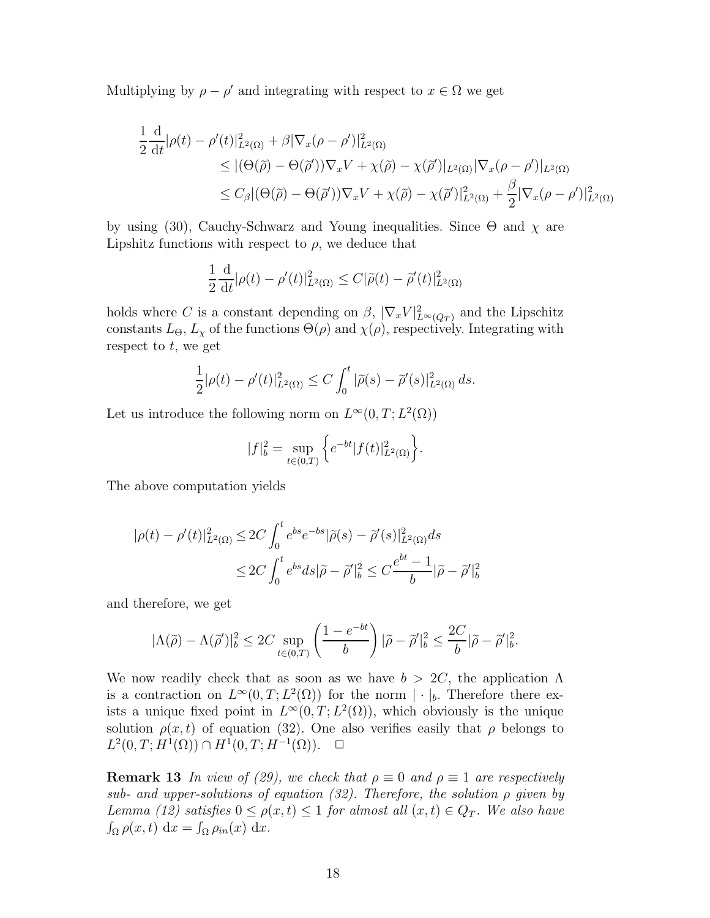Multiplying by  $\rho - \rho'$  and integrating with respect to  $x \in \Omega$  we get

$$
\frac{1}{2} \frac{d}{dt} |\rho(t) - \rho'(t)|_{L^2(\Omega)}^2 + \beta |\nabla_x(\rho - \rho')|_{L^2(\Omega)}^2
$$
\n
$$
\leq |(\Theta(\tilde{\rho}) - \Theta(\tilde{\rho}'))\nabla_x V + \chi(\tilde{\rho}) - \chi(\tilde{\rho}')|_{L^2(\Omega)} |\nabla_x(\rho - \rho')|_{L^2(\Omega)}\n\n
$$
\leq C_\beta |(\Theta(\tilde{\rho}) - \Theta(\tilde{\rho}'))\nabla_x V + \chi(\tilde{\rho}) - \chi(\tilde{\rho}')|_{L^2(\Omega)}^2 + \frac{\beta}{2} |\nabla_x(\rho - \rho')|_{L^2(\Omega)}^2
$$
$$

by using (30), Cauchy-Schwarz and Young inequalities. Since  $\Theta$  and  $\chi$  are Lipshitz functions with respect to  $\rho$ , we deduce that

$$
\frac{1}{2}\frac{\mathrm{d}}{\mathrm{d}t}|\rho(t) - \rho'(t)|_{L^2(\Omega)}^2 \le C|\widetilde{\rho}(t) - \widetilde{\rho}'(t)|_{L^2(\Omega)}^2
$$

holds where C is a constant depending on  $\beta$ ,  $|\nabla_x V|_{L^{\infty}(Q_T)}^2$  and the Lipschitz constants  $L_{\Theta}$ ,  $L_{\chi}$  of the functions  $\Theta(\rho)$  and  $\chi(\rho)$ , respectively. Integrating with respect to  $t$ , we get

$$
\frac{1}{2}|\rho(t) - \rho'(t)|_{L^2(\Omega)}^2 \le C \int_0^t |\tilde{\rho}(s) - \tilde{\rho}'(s)|_{L^2(\Omega)}^2 ds.
$$

Let us introduce the following norm on  $L^{\infty}(0,T; L^2(\Omega))$ 

$$
|f|_{b}^{2} = \sup_{t \in (0,T)} \left\{ e^{-bt} |f(t)|_{L^{2}(\Omega)}^{2} \right\}.
$$

The above computation yields

$$
|\rho(t) - \rho'(t)|_{L^2(\Omega)}^2 \le 2C \int_0^t e^{bs} e^{-bs} |\tilde{\rho}(s) - \tilde{\rho}'(s)|_{L^2(\Omega)}^2 ds
$$
  

$$
\le 2C \int_0^t e^{bs} ds |\tilde{\rho} - \tilde{\rho}'|_b^2 \le C \frac{e^{bt} - 1}{b} |\tilde{\rho} - \tilde{\rho}'|_b^2
$$

and therefore, we get

$$
|\Lambda(\widetilde{\rho})-\Lambda(\widetilde{\rho}')|^2_b\leq 2C\sup_{t\in(0,T)}\left(\frac{1-e^{-bt}}{b}\right)|\widetilde{\rho}-\widetilde{\rho}'|^2_b\leq \frac{2C}{b}|\widetilde{\rho}-\widetilde{\rho}'|^2_b.
$$

We now readily check that as soon as we have  $b > 2C$ , the application  $\Lambda$ is a contraction on  $L^{\infty}(0,T; L^{2}(\Omega))$  for the norm  $|\cdot|_{b}$ . Therefore there exists a unique fixed point in  $L^{\infty}(0,T; L^2(\Omega))$ , which obviously is the unique solution  $\rho(x, t)$  of equation (32). One also verifies easily that  $\rho$  belongs to  $L^2(0,T;H^1(\Omega)) \cap H^1(0,T;H^{-1}(\Omega))$ .  $\Box$ 

**Remark 13** In view of (29), we check that  $\rho \equiv 0$  and  $\rho \equiv 1$  are respectively sub- and upper-solutions of equation (32). Therefore, the solution  $\rho$  given by Lemma (12) satisfies  $0 \le \rho(x,t) \le 1$  for almost all  $(x,t) \in Q_T$ . We also have  $\int_{\Omega} \rho(x, t) \, dx = \int_{\Omega} \rho_{in}(x) \, dx.$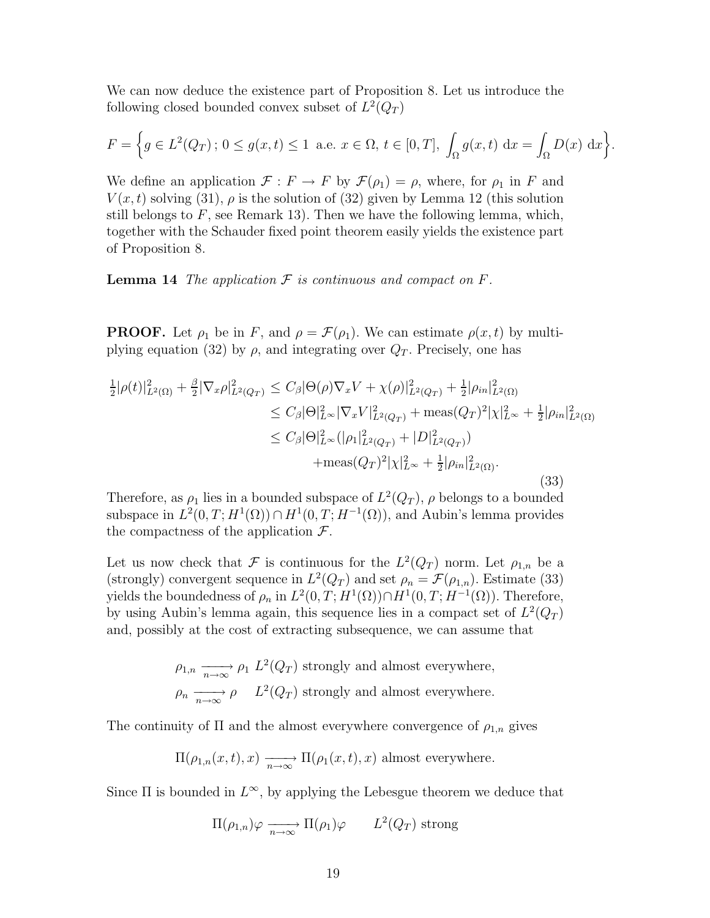We can now deduce the existence part of Proposition 8. Let us introduce the following closed bounded convex subset of  $L^2(Q_T)$ 

$$
F = \left\{ g \in L^{2}(Q_{T}) \, ; \, 0 \le g(x, t) \le 1 \text{ a.e. } x \in \Omega, t \in [0, T], \int_{\Omega} g(x, t) \, dx = \int_{\Omega} D(x) \, dx \right\}.
$$

We define an application  $\mathcal{F}: F \to F$  by  $\mathcal{F}(\rho_1) = \rho$ , where, for  $\rho_1$  in F and  $V(x, t)$  solving (31),  $\rho$  is the solution of (32) given by Lemma 12 (this solution still belongs to  $F$ , see Remark 13). Then we have the following lemma, which, together with the Schauder fixed point theorem easily yields the existence part of Proposition 8.

**Lemma 14** The application  $\mathcal F$  is continuous and compact on  $F$ .

**PROOF.** Let  $\rho_1$  be in F, and  $\rho = \mathcal{F}(\rho_1)$ . We can estimate  $\rho(x, t)$  by multiplying equation (32) by  $\rho$ , and integrating over  $Q_T$ . Precisely, one has

$$
\frac{1}{2}|\rho(t)|_{L^{2}(\Omega)}^{2} + \frac{\beta}{2}|\nabla_{x}\rho|_{L^{2}(Q_{T})}^{2} \leq C_{\beta}|\Theta(\rho)\nabla_{x}V + \chi(\rho)|_{L^{2}(Q_{T})}^{2} + \frac{1}{2}|\rho_{in}|_{L^{2}(\Omega)}^{2}
$$
\n
$$
\leq C_{\beta}|\Theta|_{L^{\infty}}^{2}|\nabla_{x}V|_{L^{2}(Q_{T})}^{2} + \text{meas}(Q_{T})^{2}|\chi|_{L^{\infty}}^{2} + \frac{1}{2}|\rho_{in}|_{L^{2}(\Omega)}^{2}
$$
\n
$$
\leq C_{\beta}|\Theta|_{L^{\infty}}^{2}(|\rho_{1}|_{L^{2}(Q_{T})}^{2} + |D|_{L^{2}(Q_{T})}^{2})
$$
\n
$$
+ \text{meas}(Q_{T})^{2}|\chi|_{L^{\infty}}^{2} + \frac{1}{2}|\rho_{in}|_{L^{2}(\Omega)}^{2}.
$$
\n(33)

Therefore, as  $\rho_1$  lies in a bounded subspace of  $L^2(Q_T)$ ,  $\rho$  belongs to a bounded subspace in  $L^2(0,T;H^1(\Omega)) \cap H^1(0,T;H^{-1}(\Omega))$ , and Aubin's lemma provides the compactness of the application  $\mathcal{F}$ .

Let us now check that  $\mathcal F$  is continuous for the  $L^2(Q_T)$  norm. Let  $\rho_{1,n}$  be a (strongly) convergent sequence in  $L^2(Q_T)$  and set  $\rho_n = \mathcal{F}(\rho_{1,n})$ . Estimate (33) yields the boundedness of  $\rho_n$  in  $L^2(0,T;H^1(\Omega)) \cap H^1(0,T;H^{-1}(\Omega))$ . Therefore, by using Aubin's lemma again, this sequence lies in a compact set of  $L^2(Q_T)$ and, possibly at the cost of extracting subsequence, we can assume that

$$
\rho_{1,n} \xrightarrow[n \to \infty]{} \rho_1 \ L^2(Q_T) \text{ strongly and almost everywhere,}
$$
  

$$
\rho_n \xrightarrow[n \to \infty]{} \rho \qquad L^2(Q_T) \text{ strongly and almost everywhere.}
$$

The continuity of  $\Pi$  and the almost everywhere convergence of  $\rho_{1,n}$  gives

$$
\Pi(\rho_{1,n}(x,t),x) \xrightarrow[n \to \infty]{} \Pi(\rho_1(x,t),x)
$$
 almost everywhere.

Since  $\Pi$  is bounded in  $L^{\infty}$ , by applying the Lebesgue theorem we deduce that

$$
\Pi(\rho_{1,n})\varphi \xrightarrow[n \to \infty]{} \Pi(\rho_1)\varphi
$$
  $L^2(Q_T)$  strong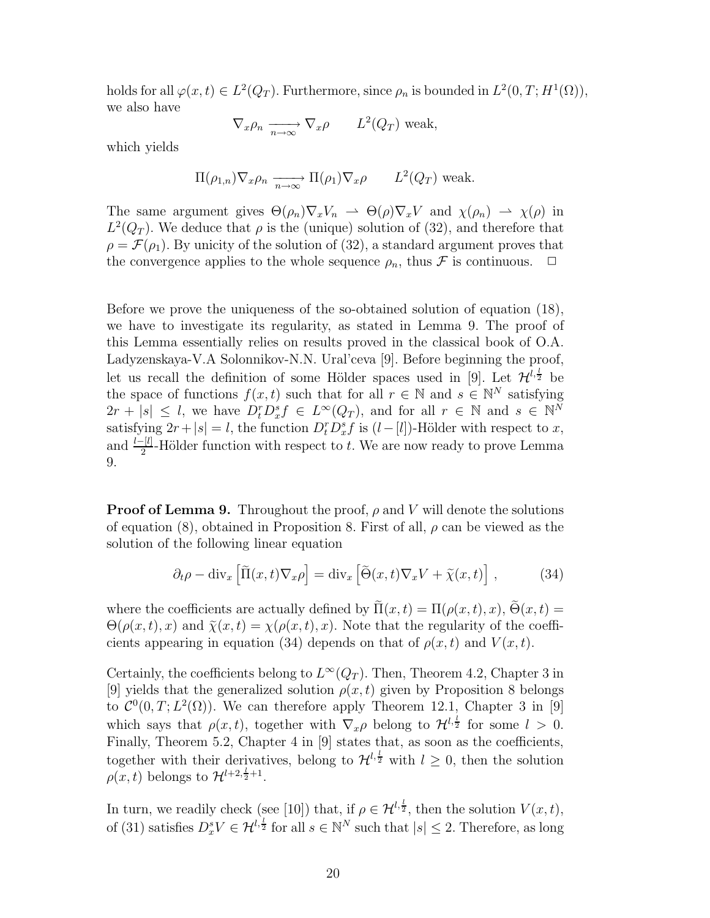holds for all  $\varphi(x,t) \in L^2(Q_T)$ . Furthermore, since  $\rho_n$  is bounded in  $L^2(0,T;H^1(\Omega)),$ we also have

$$
\nabla_x \rho_n \xrightarrow[n \to \infty]{} \nabla_x \rho
$$
  $L^2(Q_T)$  weak,

which yields

$$
\Pi(\rho_{1,n})\nabla_x \rho_n \xrightarrow[n \to \infty]{} \Pi(\rho_1)\nabla_x \rho
$$
  $L^2(Q_T)$  weak.

The same argument gives  $\Theta(\rho_n) \nabla_x V_n \rightharpoonup \Theta(\rho) \nabla_x V$  and  $\chi(\rho_n) \rightharpoonup \chi(\rho)$  in  $L^2(Q_T)$ . We deduce that  $\rho$  is the (unique) solution of (32), and therefore that  $\rho = \mathcal{F}(\rho_1)$ . By unicity of the solution of (32), a standard argument proves that the convergence applies to the whole sequence  $\rho_n$ , thus  $\mathcal F$  is continuous.  $\Box$ 

Before we prove the uniqueness of the so-obtained solution of equation (18), we have to investigate its regularity, as stated in Lemma 9. The proof of this Lemma essentially relies on results proved in the classical book of O.A. Ladyzenskaya-V.A Solonnikov-N.N. Ural'ceva [9]. Before beginning the proof, let us recall the definition of some Hölder spaces used in [9]. Let  $\mathcal{H}^{l, \frac{1}{2}}$  be the space of functions  $f(x, t)$  such that for all  $r \in \mathbb{N}$  and  $s \in \mathbb{N}^N$  satisfying  $2r + |s| \leq l$ , we have  $D_t^r D_x^s f \in L^\infty(Q_T)$ , and for all  $r \in \mathbb{N}$  and  $s \in \mathbb{N}^N$ satisfying  $2r+|s|=l$ , the function  $D_t^r D_x^s f$  is  $(l-[l])$ -Hölder with respect to x, and  $\frac{l-[l]}{2}$ -Hölder function with respect to t. We are now ready to prove Lemma 9.

**Proof of Lemma 9.** Throughout the proof,  $\rho$  and V will denote the solutions of equation (8), obtained in Proposition 8. First of all,  $\rho$  can be viewed as the solution of the following linear equation

$$
\partial_t \rho - \text{div}_x \left[ \tilde{\Pi}(x, t) \nabla_x \rho \right] = \text{div}_x \left[ \tilde{\Theta}(x, t) \nabla_x V + \tilde{\chi}(x, t) \right],\tag{34}
$$

where the coefficients are actually defined by  $\tilde{\Pi}(x,t) = \Pi(\rho(x,t),x)$ ,  $\tilde{\Theta}(x,t) =$  $\Theta(\rho(x,t),x)$  and  $\tilde{\chi}(x,t) = \chi(\rho(x,t),x)$ . Note that the regularity of the coefficients appearing in equation (34) depends on that of  $\rho(x, t)$  and  $V(x, t)$ .

Certainly, the coefficients belong to  $L^{\infty}(Q_T)$ . Then, Theorem 4.2, Chapter 3 in [9] yields that the generalized solution  $\rho(x, t)$  given by Proposition 8 belongs to  $\mathcal{C}^0(0,T;L^2(\Omega))$ . We can therefore apply Theorem 12.1, Chapter 3 in [9] which says that  $\rho(x, t)$ , together with  $\nabla_x \rho$  belong to  $\mathcal{H}^{l, \frac{l}{2}}$  for some  $l > 0$ . Finally, Theorem 5.2, Chapter 4 in [9] states that, as soon as the coefficients, together with their derivatives, belong to  $\mathcal{H}^{l, \frac{l}{2}}$  with  $l \geq 0$ , then the solution  $\rho(x,t)$  belongs to  $\mathcal{H}^{l+2,\frac{l}{2}+1}$ .

In turn, we readily check (see [10]) that, if  $\rho \in \mathcal{H}^{l, \frac{l}{2}}$ , then the solution  $V(x, t)$ , of (31) satisfies  $D_x^s V \in \mathcal{H}^{l, \frac{l}{2}}$  for all  $s \in \mathbb{N}^N$  such that  $|s| \leq 2$ . Therefore, as long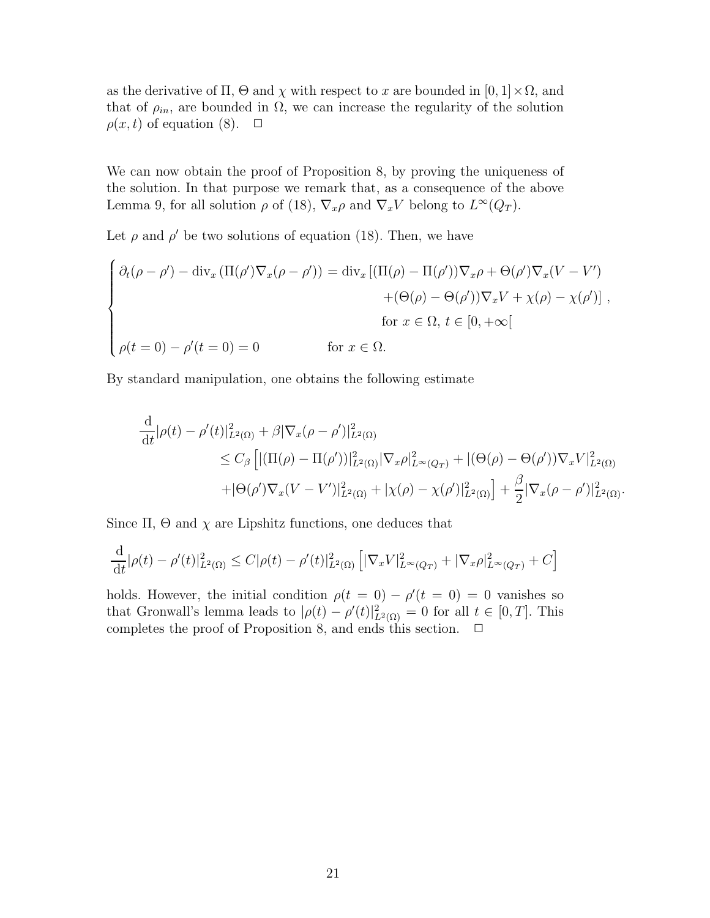as the derivative of  $\Pi$ ,  $\Theta$  and  $\chi$  with respect to x are bounded in  $[0, 1] \times \Omega$ , and that of  $\rho_{in}$ , are bounded in  $\Omega$ , we can increase the regularity of the solution  $\rho(x, t)$  of equation (8).  $\Box$ 

We can now obtain the proof of Proposition 8, by proving the uniqueness of the solution. In that purpose we remark that, as a consequence of the above Lemma 9, for all solution  $\rho$  of (18),  $\nabla_x \rho$  and  $\nabla_x V$  belong to  $L^{\infty}(Q_T)$ .

Let  $\rho$  and  $\rho'$  be two solutions of equation (18). Then, we have

$$
\begin{cases}\n\partial_t(\rho - \rho') - \operatorname{div}_x(\Pi(\rho')\nabla_x(\rho - \rho')) = \operatorname{div}_x[(\Pi(\rho) - \Pi(\rho'))\nabla_x\rho + \Theta(\rho')\nabla_x(V - V') \\
+ (\Theta(\rho) - \Theta(\rho'))\nabla_xV + \chi(\rho) - \chi(\rho')]\n\end{cases},
$$
\nfor  $x \in \Omega$ ,  $t \in [0, +\infty]$ \n  
\nfor  $x \in \Omega$ ,  $t \in [0, +\infty]$ 

By standard manipulation, one obtains the following estimate

$$
\frac{d}{dt}|\rho(t) - \rho'(t)|_{L^2(\Omega)}^2 + \beta |\nabla_x(\rho - \rho')|_{L^2(\Omega)}^2 \n\le C_\beta \left[ |(\Pi(\rho) - \Pi(\rho'))|_{L^2(\Omega)}^2 |\nabla_x \rho|_{L^\infty(Q_T)}^2 + |(\Theta(\rho) - \Theta(\rho'))\nabla_x V|_{L^2(\Omega)}^2 + |\Theta(\rho')\nabla_x (V - V')|_{L^2(\Omega)}^2 + |\chi(\rho) - \chi(\rho')|_{L^2(\Omega)}^2 \right] + \frac{\beta}{2} |\nabla_x(\rho - \rho')|_{L^2(\Omega)}^2.
$$

Since  $\Pi$ ,  $\Theta$  and  $\chi$  are Lipshitz functions, one deduces that

$$
\frac{\mathrm{d}}{\mathrm{d}t}|\rho(t) - \rho'(t)|_{L^2(\Omega)}^2 \le C|\rho(t) - \rho'(t)|_{L^2(\Omega)}^2 \left[|\nabla_x V|_{L^\infty(Q_T)}^2 + |\nabla_x \rho|_{L^\infty(Q_T)}^2 + C\right]
$$

holds. However, the initial condition  $\rho(t = 0) - \rho'(t = 0) = 0$  vanishes so that Gronwall's lemma leads to  $|\rho(t) - \rho'(t)|_{L^2(\Omega)}^2 = 0$  for all  $t \in [0, T]$ . This completes the proof of Proposition 8, and ends this section.  $\Box$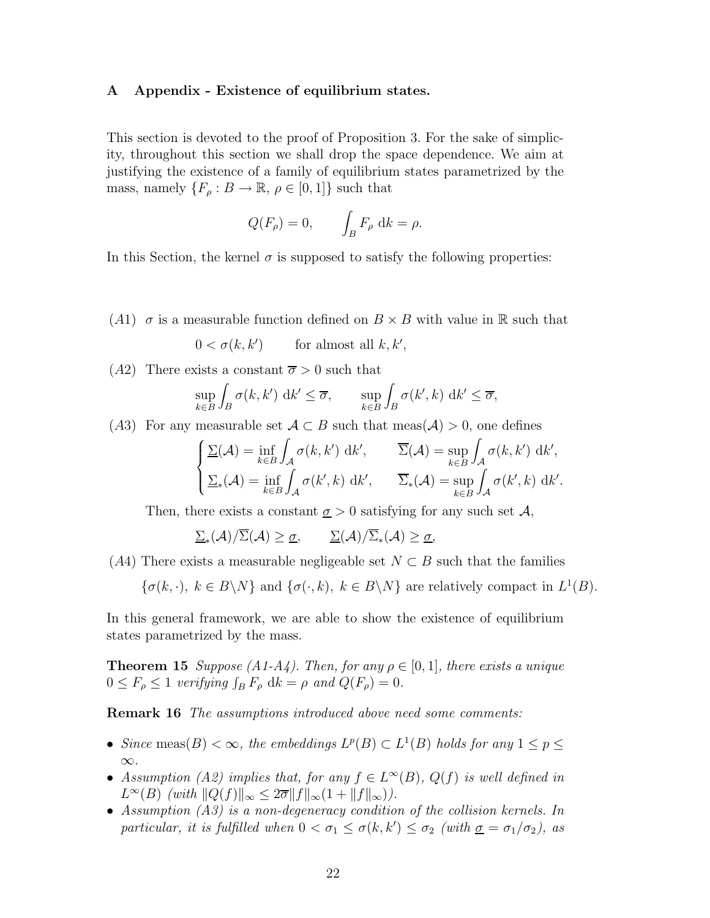#### A Appendix - Existence of equilibrium states.

This section is devoted to the proof of Proposition 3. For the sake of simplicity, throughout this section we shall drop the space dependence. We aim at justifying the existence of a family of equilibrium states parametrized by the mass, namely  $\{F_{\rho}: B \to \mathbb{R}, \rho \in [0,1]\}$  such that

$$
Q(F_{\rho}) = 0, \qquad \int_B F_{\rho} \, \mathrm{d}k = \rho.
$$

In this Section, the kernel  $\sigma$  is supposed to satisfy the following properties:

(A1)  $\sigma$  is a measurable function defined on  $B \times B$  with value in R such that

$$
0 < \sigma(k, k') \qquad \text{for almost all } k, k',
$$

(A2) There exists a constant  $\overline{\sigma} > 0$  such that

$$
\sup_{k \in B} \int_B \sigma(k, k') \, \mathrm{d}k' \le \overline{\sigma}, \qquad \sup_{k \in B} \int_B \sigma(k', k) \, \mathrm{d}k' \le \overline{\sigma},
$$

(A3) For any measurable set  $A \subset B$  such that meas( $A$ ) > 0, one defines

$$
\begin{cases} \Sigma(\mathcal{A}) = \inf_{k \in B} \int_{\mathcal{A}} \sigma(k, k') \, \mathrm{d}k', & \overline{\Sigma}(\mathcal{A}) = \sup_{k \in B} \int_{\mathcal{A}} \sigma(k, k') \, \mathrm{d}k', \\ \Sigma_*(\mathcal{A}) = \inf_{k \in B} \int_{\mathcal{A}} \sigma(k', k) \, \mathrm{d}k', & \overline{\Sigma}_*(\mathcal{A}) = \sup_{k \in B} \int_{\mathcal{A}} \sigma(k', k) \, \mathrm{d}k'. \end{cases}
$$

Then, there exists a constant  $\sigma > 0$  satisfying for any such set A,

 $\underline{\Sigma}_*(\mathcal{A})/\Sigma(\mathcal{A})\geq\underline{\sigma},\qquad \underline{\Sigma}(\mathcal{A})/\Sigma_*(\mathcal{A})\geq\underline{\sigma},$ 

(A4) There exists a measurable negligeable set  $N \subset B$  such that the families

$$
\{\sigma(k, \cdot), k \in B \setminus N\}
$$
 and  $\{\sigma(\cdot, k), k \in B \setminus N\}$  are relatively compact in  $L^1(B)$ .

In this general framework, we are able to show the existence of equilibrium states parametrized by the mass.

**Theorem 15** Suppose (A1-A4). Then, for any  $\rho \in [0, 1]$ , there exists a unique  $0 \leq F_{\rho} \leq 1$  verifying  $\int_B F_{\rho} \, \mathrm{d}k = \rho$  and  $Q(F_{\rho}) = 0$ .

**Remark 16** The assumptions introduced above need some comments:

- Since meas(B)  $<\infty$ , the embeddings  $L^p(B) \subset L^1(B)$  holds for any  $1 \leq p \leq$ ∞.
- Assumption (A2) implies that, for any  $f \in L^{\infty}(B)$ ,  $Q(f)$  is well defined in  $L^{\infty}(B)$  (with  $||Q(f)||_{\infty} \leq 2\overline{\sigma}||f||_{\infty}(1 + ||f||_{\infty})$ ).
- Assumption (A3) is a non-degeneracy condition of the collision kernels. In particular, it is fulfilled when  $0 < \sigma_1 \leq \sigma(k, k') \leq \sigma_2$  (with  $\underline{\sigma} = \sigma_1/\sigma_2$ ), as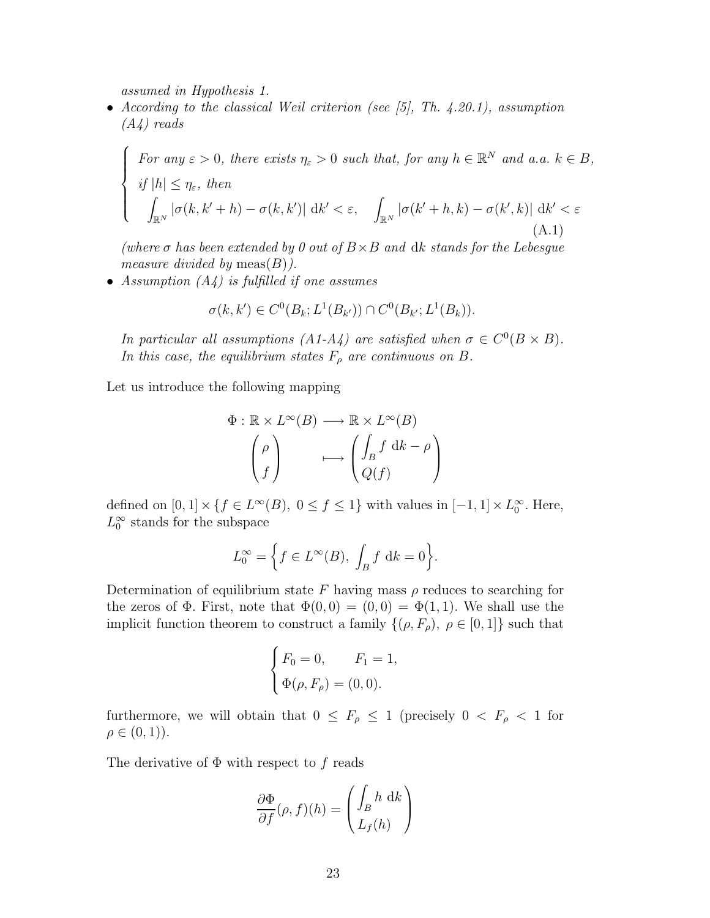assumed in Hypothesis 1.

 $\sqrt{ }$  $\Big\}$ 

 $\overline{\mathcal{L}}$ 

• According to the classical Weil criterion (see  $[5]$ , Th. 4.20.1), assumption (A4) reads

For any  $\varepsilon > 0$ , there exists  $\eta_{\varepsilon} > 0$  such that, for any  $h \in \mathbb{R}^N$  and a.a.  $k \in B$ , if  $|h| \leq \eta_{\varepsilon}$ , then Z  $\int_{\mathbb{R}^N}|\sigma(k,k'+h)-\sigma(k,k')| \, \, \mathrm{d} k' < \varepsilon, \quad \int_{\mathbb{R}^N}|\sigma(k'+h,k)-\sigma(k',k)| \, \, \mathrm{d} k' < \varepsilon$ (A.1)

(where  $\sigma$  has been extended by 0 out of  $B \times B$  and dk stands for the Lebesgue measure divided by  $meas(B)$ ).

• Assumption  $(A_4)$  is fulfilled if one assumes

$$
\sigma(k, k') \in C^0(B_k; L^1(B_{k'})) \cap C^0(B_{k'}; L^1(B_k)).
$$

In particular all assumptions (A1-A4) are satisfied when  $\sigma \in C^0(B \times B)$ . In this case, the equilibrium states  $F_{\rho}$  are continuous on B.

Let us introduce the following mapping

$$
\Phi : \mathbb{R} \times L^{\infty}(B) \longrightarrow \mathbb{R} \times L^{\infty}(B)
$$

$$
\begin{pmatrix} \rho \\ f \end{pmatrix} \longmapsto \begin{pmatrix} \int_{B} f \, \mathrm{d}k - \rho \\ Q(f) \end{pmatrix}
$$

defined on  $[0,1] \times \{f \in L^{\infty}(B), 0 \le f \le 1\}$  with values in  $[-1,1] \times L_0^{\infty}$ . Here,  $L_0^{\infty}$  stands for the subspace

$$
L_0^{\infty} = \left\{ f \in L^{\infty}(B), \int_B f \, \mathrm{d}k = 0 \right\}.
$$

Determination of equilibrium state F having mass  $\rho$  reduces to searching for the zeros of  $\Phi$ . First, note that  $\Phi(0,0) = (0,0) = \Phi(1,1)$ . We shall use the implicit function theorem to construct a family  $\{(\rho, F_{\rho}), \rho \in [0, 1]\}$  such that

$$
\begin{cases}\nF_0 = 0, & F_1 = 1, \\
\Phi(\rho, F_\rho) = (0, 0).\n\end{cases}
$$

furthermore, we will obtain that  $0 \leq F_{\rho} \leq 1$  (precisely  $0 \lt F_{\rho} \lt 1$  for  $\rho \in (0, 1)$ .

The derivative of  $\Phi$  with respect to f reads

$$
\frac{\partial \Phi}{\partial f}(\rho, f)(h) = \begin{pmatrix} \int_B h \, \mathrm{d}k \\ L_f(h) \end{pmatrix}
$$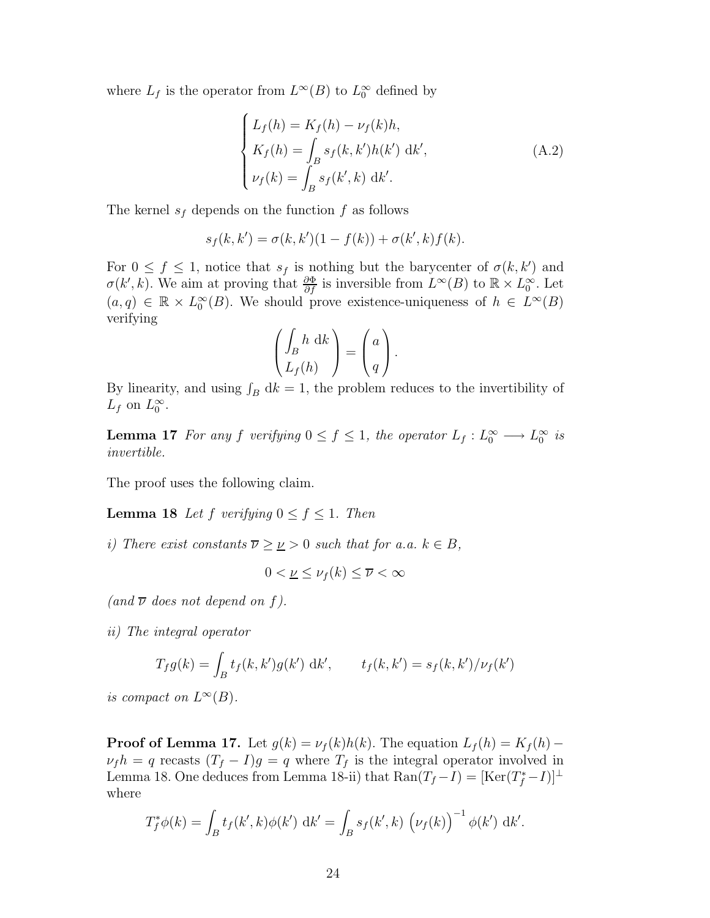where  $L_f$  is the operator from  $L^{\infty}(B)$  to  $L_0^{\infty}$  defined by

$$
\begin{cases}\nL_f(h) = K_f(h) - \nu_f(k)h, \\
K_f(h) = \int_B s_f(k, k')h(k') \,dk', \\
\nu_f(k) = \int_B s_f(k', k) \,dk'.\n\end{cases}
$$
\n(A.2)

The kernel  $s_f$  depends on the function f as follows

$$
s_f(k, k') = \sigma(k, k')(1 - f(k)) + \sigma(k', k) f(k).
$$

For  $0 \leq f \leq 1$ , notice that  $s_f$  is nothing but the barycenter of  $\sigma(k, k')$  and  $\sigma(k',k)$ . We aim at proving that  $\frac{\partial \Phi}{\partial f}$  is inversible from  $L^{\infty}(B)$  to  $\mathbb{R}\times L^{\infty}_0$ . Let  $(a, q) \in \mathbb{R} \times L_0^{\infty}(B)$ . We should prove existence-uniqueness of  $h \in L^{\infty}(B)$ verifying

$$
\left(\begin{matrix} \int_B h \, \mathrm{d}k \\ L_f(h) \end{matrix}\right) = \left(\begin{matrix} a \\ q \end{matrix}\right).
$$

By linearity, and using  $\int_B dk = 1$ , the problem reduces to the invertibility of  $L_f$  on  $L_0^{\infty}$ .

**Lemma 17** For any f verifying  $0 \le f \le 1$ , the operator  $L_f: L_0^{\infty} \longrightarrow L_0^{\infty}$  is invertible.

The proof uses the following claim.

**Lemma 18** Let f verifying  $0 \le f \le 1$ . Then

i) There exist constants  $\overline{\nu} \geq \nu > 0$  such that for a.a.  $k \in B$ ,

$$
0 < \underline{\nu} \le \nu_f(k) \le \overline{\nu} < \infty
$$

(and  $\overline{\nu}$  does not depend on f).

ii) The integral operator

$$
T_f g(k) = \int_B t_f(k, k') g(k') \, dk', \qquad t_f(k, k') = s_f(k, k') / \nu_f(k')
$$

is compact on  $L^{\infty}(B)$ .

**Proof of Lemma 17.** Let  $g(k) = \nu_f(k)h(k)$ . The equation  $L_f(h) = K_f(h)$  –  $\nu_f h = q$  recasts  $(T_f - I)g = q$  where  $T_f$  is the integral operator involved in Lemma 18. One deduces from Lemma 18-ii) that  $\text{Ran}(T_f-I) = [\text{Ker}(T_f^*-I)]^{\perp}$ where

$$
T_f^* \phi(k) = \int_B t_f(k',k) \phi(k') \, \mathrm{d}k' = \int_B s_f(k',k) \, \left(\nu_f(k)\right)^{-1} \phi(k') \, \mathrm{d}k'.
$$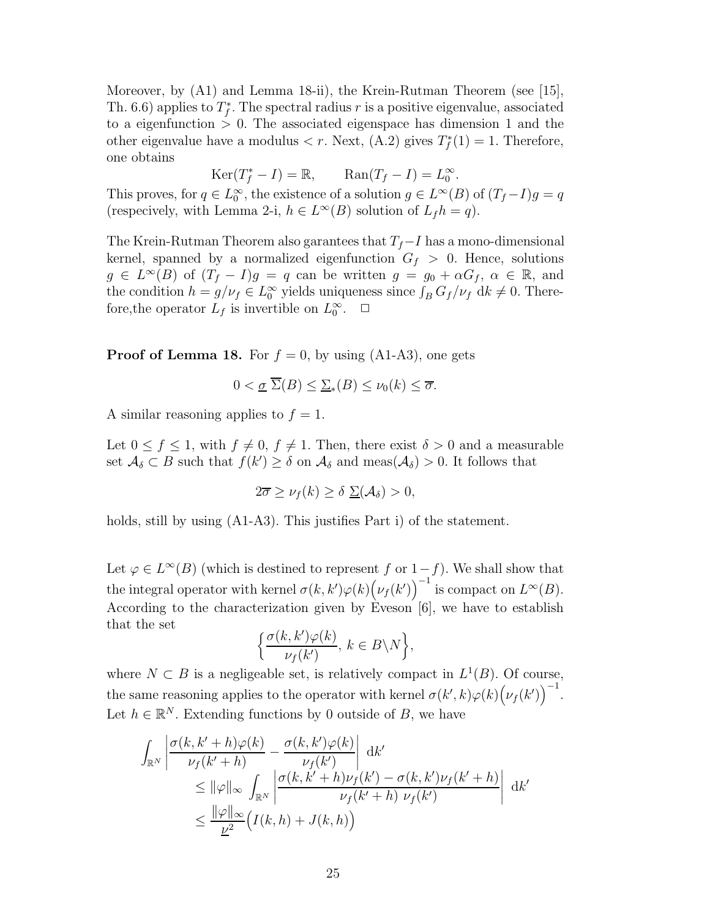Moreover, by (A1) and Lemma 18-ii), the Krein-Rutman Theorem (see [15], Th. 6.6) applies to  $T_f^*$ . The spectral radius r is a positive eigenvalue, associated to a eigenfunction  $> 0$ . The associated eigenspace has dimension 1 and the other eigenvalue have a modulus  $\langle r. \text{ Next}, (A.2) \text{ gives } T_f^*(1) = 1. \text{ Therefore,}$ one obtains

$$
Ker(T_f^*-I) = \mathbb{R}, \qquad \text{Ran}(T_f-I) = L_0^{\infty}.
$$

This proves, for  $q \in L_0^{\infty}$ , the existence of a solution  $g \in L^{\infty}(B)$  of  $(T_f - I)g = q$ (respecively, with Lemma 2-i,  $h \in L^{\infty}(B)$  solution of  $L_f h = q$ ).

The Krein-Rutman Theorem also garantees that  $T_f-I$  has a mono-dimensional kernel, spanned by a normalized eigenfunction  $G_f > 0$ . Hence, solutions  $g \in L^{\infty}(B)$  of  $(T_f - I)g = q$  can be written  $g = g_0 + \alpha G_f$ ,  $\alpha \in \mathbb{R}$ , and the condition  $h = g/\nu_f \in L_0^{\infty}$  yields uniqueness since  $\int_B G_f/\nu_f \, \mathrm{d}k \neq 0$ . Therefore, the operator  $L_f$  is invertible on  $L_0^{\infty}$ .  $\Box$ 

**Proof of Lemma 18.** For  $f = 0$ , by using (A1-A3), one gets

$$
0 < \underline{\sigma} \ \overline{\Sigma}(B) \le \underline{\Sigma}_*(B) \le \nu_0(k) \le \overline{\sigma}.
$$

A similar reasoning applies to  $f = 1$ .

Let  $0 \le f \le 1$ , with  $f \ne 0$ ,  $f \ne 1$ . Then, there exist  $\delta > 0$  and a measurable set  $\mathcal{A}_{\delta} \subset B$  such that  $f(k') \geq \delta$  on  $\mathcal{A}_{\delta}$  and meas $(\mathcal{A}_{\delta}) > 0$ . It follows that

$$
2\overline{\sigma} \ge \nu_f(k) \ge \delta \, \Sigma(\mathcal{A}_{\delta}) > 0,
$$

holds, still by using  $(A1-A3)$ . This justifies Part i) of the statement.

Let  $\varphi \in L^{\infty}(B)$  (which is destined to represent f or  $1-f$ ). We shall show that the integral operator with kernel  $\sigma(k, k')\varphi(k)\big(\nu_f(k')\big)^{-1}$  is compact on  $L^{\infty}(B)$ . According to the characterization given by Eveson [6], we have to establish that the set

$$
\Big\{\frac{\sigma(k,k')\varphi(k)}{\nu_f(k')},\,k\in B\backslash N\Big\},
$$

where  $N \subset B$  is a negligeable set, is relatively compact in  $L^1(B)$ . Of course, the same reasoning applies to the operator with kernel  $\sigma(k',k)\varphi(k)\big(\nu_f(k')\big)^{-1}$ . Let  $h \in \mathbb{R}^N$ . Extending functions by 0 outside of B, we have

$$
\int_{\mathbb{R}^N} \left| \frac{\sigma(k, k'+h)\varphi(k)}{\nu_f(k'+h)} - \frac{\sigma(k, k')\varphi(k)}{\nu_f(k')} \right| \, \mathrm{d}k' \n\leq \|\varphi\|_{\infty} \int_{\mathbb{R}^N} \left| \frac{\sigma(k, k'+h)\nu_f(k') - \sigma(k, k')\nu_f(k'+h)}{\nu_f(k'+h)\nu_f(k')} \right| \, \mathrm{d}k' \n\leq \frac{\|\varphi\|_{\infty}}{\underline{\nu}^2} \Big( I(k, h) + J(k, h) \Big)
$$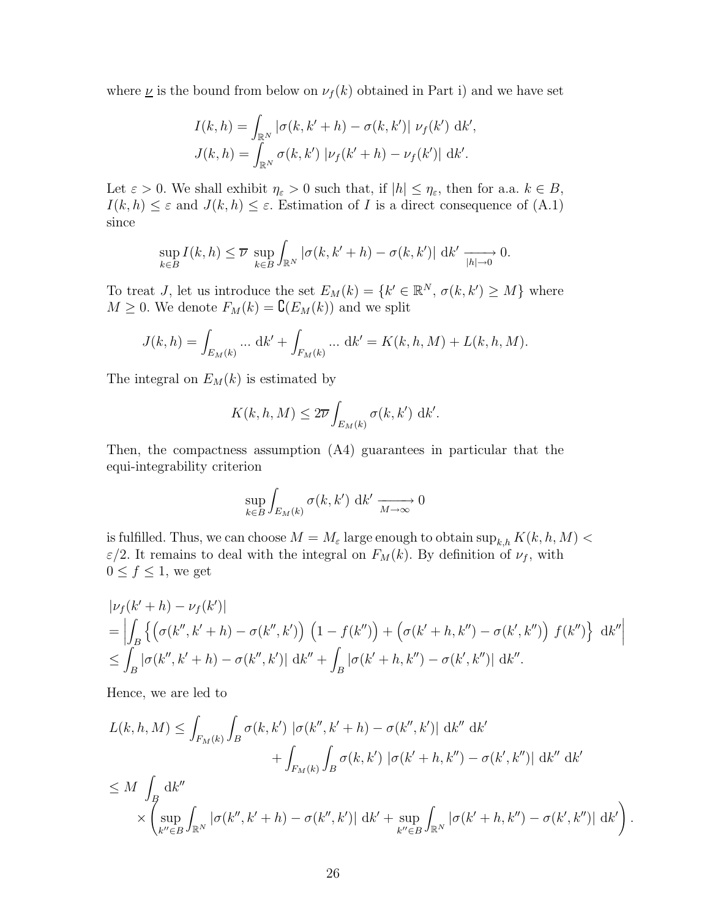where  $\underline{\nu}$  is the bound from below on  $\nu_f(k)$  obtained in Part i) and we have set

$$
I(k, h) = \int_{\mathbb{R}^N} |\sigma(k, k' + h) - \sigma(k, k')| \nu_f(k') \, dk',
$$
  

$$
J(k, h) = \int_{\mathbb{R}^N} \sigma(k, k') |\nu_f(k' + h) - \nu_f(k')| \, dk'.
$$

Let  $\varepsilon > 0$ . We shall exhibit  $\eta_{\varepsilon} > 0$  such that, if  $|h| \leq \eta_{\varepsilon}$ , then for a.a.  $k \in B$ ,  $I(k, h) \leq \varepsilon$  and  $J(k, h) \leq \varepsilon$ . Estimation of I is a direct consequence of (A.1) since

$$
\sup_{k \in B} I(k, h) \leq \overline{\nu} \sup_{k \in B} \int_{\mathbb{R}^N} |\sigma(k, k' + h) - \sigma(k, k')| \, \mathrm{d}k' \xrightarrow[h] \to 0.
$$

To treat *J*, let us introduce the set  $E_M(k) = \{k' \in \mathbb{R}^N, \sigma(k, k') \geq M\}$  where  $M \geq 0$ . We denote  $F_M(k) = \mathbf{C}(E_M(k))$  and we split

$$
J(k, h) = \int_{E_M(k)} \dots \, dk' + \int_{F_M(k)} \dots \, dk' = K(k, h, M) + L(k, h, M).
$$

The integral on  $E_M(k)$  is estimated by

$$
K(k, h, M) \le 2\overline{\nu} \int_{E_M(k)} \sigma(k, k') \, \mathrm{d}k'.
$$

Then, the compactness assumption (A4) guarantees in particular that the equi-integrability criterion

$$
\sup_{k \in B} \int_{E_M(k)} \sigma(k, k') \, \mathrm{d}k' \xrightarrow[M \to \infty]{} 0
$$

is fulfilled. Thus, we can choose  $M = M_{\varepsilon}$  large enough to obtain  $\sup_{k,h} K(k,h,M)$  $\varepsilon/2$ . It remains to deal with the integral on  $F_M(k)$ . By definition of  $\nu_f$ , with  $0 \le f \le 1$ , we get

$$
\begin{aligned} & |\nu_f(k'+h) - \nu_f(k')| \\ &= \left| \int_B \left\{ \left( \sigma(k'',k'+h) - \sigma(k'',k') \right) \left( 1 - f(k'') \right) + \left( \sigma(k'+h,k'') - \sigma(k',k'') \right) f(k'') \right\} \, \mathrm{d}k'' \right| \\ &\leq \int_B |\sigma(k'',k'+h) - \sigma(k'',k')| \, \mathrm{d}k'' + \int_B |\sigma(k'+h,k'') - \sigma(k',k'')| \, \mathrm{d}k''. \end{aligned}
$$

Hence, we are led to

$$
L(k, h, M) \leq \int_{F_M(k)} \int_B \sigma(k, k') \left| \sigma(k'', k' + h) - \sigma(k'', k') \right| dk'' dk' + \int_{F_M(k)} \int_B \sigma(k, k') \left| \sigma(k' + h, k'') - \sigma(k', k'') \right| dk'' dk' 
$$
\leq M \int_B dk'' \times \left( \sup_{k'' \in B} \int_{\mathbb{R}^N} \left| \sigma(k'', k' + h) - \sigma(k'', k') \right| dk' + \sup_{k'' \in B} \int_{\mathbb{R}^N} \left| \sigma(k' + h, k'') - \sigma(k', k'') \right| dk' \right)
$$
$$

.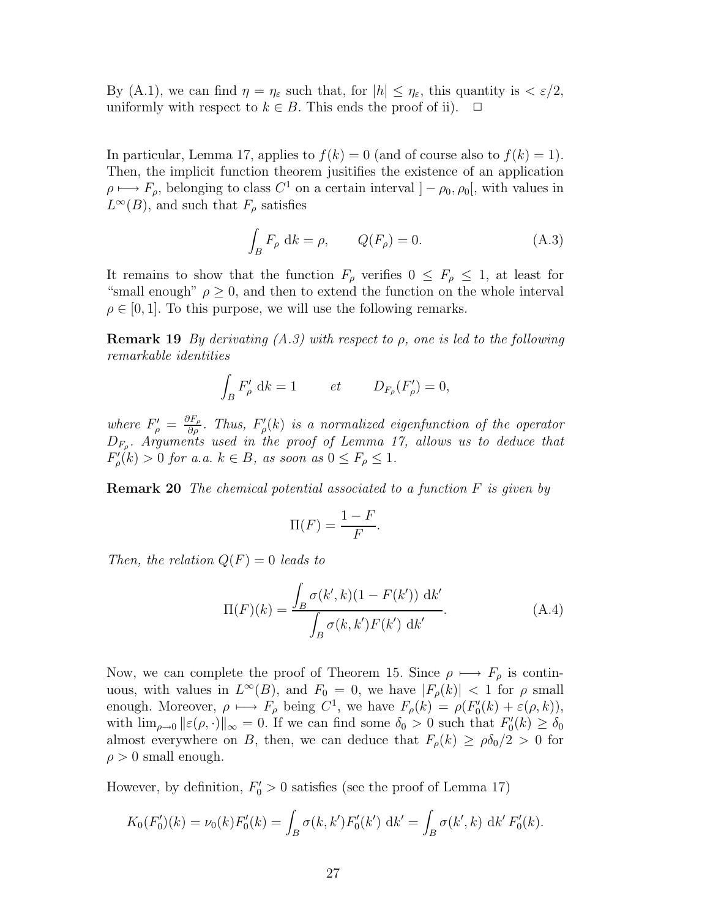By (A.1), we can find  $\eta = \eta_{\varepsilon}$  such that, for  $|h| \leq \eta_{\varepsilon}$ , this quantity is  $\langle \varepsilon/2, \eta_{\varepsilon} \rangle$ uniformly with respect to  $k \in B$ . This ends the proof of ii).  $\Box$ 

In particular, Lemma 17, applies to  $f(k) = 0$  (and of course also to  $f(k) = 1$ ). Then, the implicit function theorem jusitifies the existence of an application  $\rho \mapsto F_{\rho}$ , belonging to class  $C^1$  on a certain interval  $]-\rho_0, \rho_0[$ , with values in  $L^{\infty}(B)$ , and such that  $F_{\rho}$  satisfies

$$
\int_{B} F_{\rho} \, \mathrm{d}k = \rho, \qquad Q(F_{\rho}) = 0. \tag{A.3}
$$

It remains to show that the function  $F_{\rho}$  verifies  $0 \leq F_{\rho} \leq 1$ , at least for "small enough"  $\rho \geq 0$ , and then to extend the function on the whole interval  $\rho \in [0, 1]$ . To this purpose, we will use the following remarks.

**Remark 19** By derivating  $(A.3)$  with respect to  $\rho$ , one is led to the following remarkable identities

$$
\int_B F'_{\rho} \, \mathrm{d}k = 1 \qquad \quad et \qquad D_{F_{\rho}}(F'_{\rho}) = 0,
$$

where  $F'_{\rho} = \frac{\partial F_{\rho}}{\partial \rho}$ . Thus,  $F'_{\rho}(k)$  is a normalized eigenfunction of the operator  $D_{F_{\rho}}$ . Arguments used in the proof of Lemma 17, allows us to deduce that  $F'_{\rho}(k) > 0$  for a.a.  $k \in B$ , as soon as  $0 \leq F_{\rho} \leq 1$ .

**Remark 20** The chemical potential associated to a function  $F$  is given by

$$
\Pi(F) = \frac{1 - F}{F}.
$$

Then, the relation  $Q(F) = 0$  leads to

$$
\Pi(F)(k) = \frac{\int_{B} \sigma(k',k)(1 - F(k')) \, \mathrm{d}k'}{\int_{B} \sigma(k,k')F(k') \, \mathrm{d}k'}.
$$
\n(A.4)

Now, we can complete the proof of Theorem 15. Since  $\rho \mapsto F_{\rho}$  is continuous, with values in  $L^{\infty}(B)$ , and  $F_0 = 0$ , we have  $|F_{\rho}(k)| < 1$  for  $\rho$  small enough. Moreover,  $\rho \mapsto F_{\rho}$  being  $C^1$ , we have  $F_{\rho}(k) = \rho(F'_{0}(k) + \varepsilon(\rho, k)),$ with  $\lim_{\rho\to 0} ||\varepsilon(\rho, \cdot)||_{\infty} = 0$ . If we can find some  $\delta_0 > 0$  such that  $F'_0(k) \ge \delta_0$ almost everywhere on B, then, we can deduce that  $F_{\rho}(k) \ge \rho \delta_0/2 > 0$  for  $\rho > 0$  small enough.

However, by definition,  $F'_0 > 0$  satisfies (see the proof of Lemma 17)

$$
K_0(F'_0)(k) = \nu_0(k)F'_0(k) = \int_B \sigma(k,k')F'_0(k') \,dk' = \int_B \sigma(k',k) \,dk' F'_0(k).
$$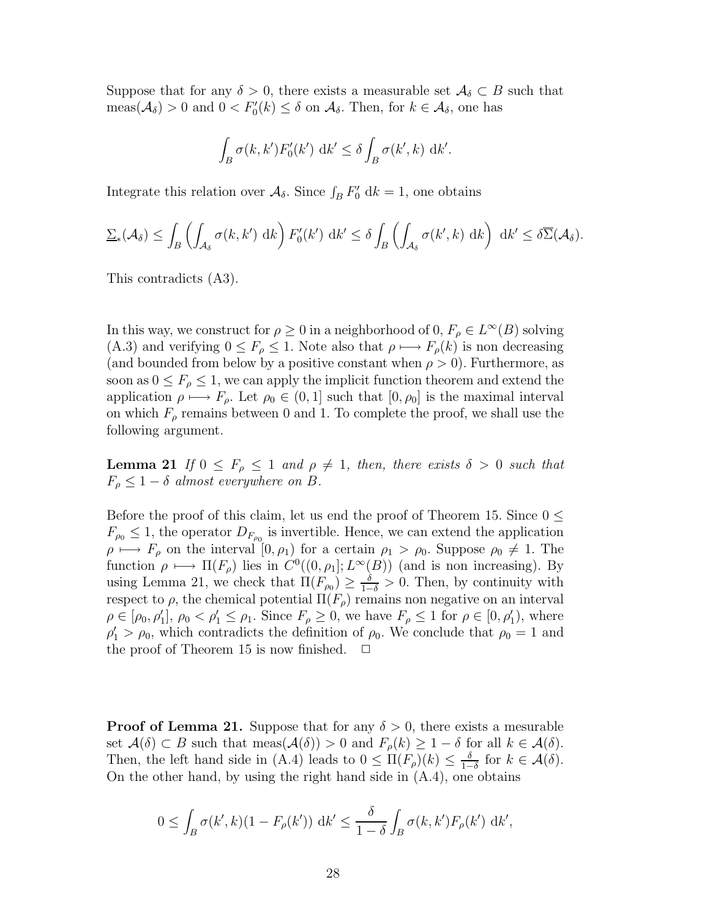Suppose that for any  $\delta > 0$ , there exists a measurable set  $\mathcal{A}_{\delta} \subset B$  such that  $meas(\mathcal{A}_{\delta}) > 0$  and  $0 < F'_{0}(k) \leq \delta$  on  $\mathcal{A}_{\delta}$ . Then, for  $k \in \mathcal{A}_{\delta}$ , one has

$$
\int_B \sigma(k, k') F'_0(k') \, \mathrm{d}k' \le \delta \int_B \sigma(k', k) \, \mathrm{d}k'.
$$

Integrate this relation over  $\mathcal{A}_{\delta}$ . Since  $\int_{B} F'_{0} \, \mathrm{d}k = 1$ , one obtains

$$
\underline{\Sigma}_{*}(\mathcal{A}_{\delta}) \leq \int_{B} \left( \int_{\mathcal{A}_{\delta}} \sigma(k, k') \, \mathrm{d}k \right) F'_{0}(k') \, \mathrm{d}k' \leq \delta \int_{B} \left( \int_{\mathcal{A}_{\delta}} \sigma(k', k) \, \mathrm{d}k \right) \, \mathrm{d}k' \leq \delta \overline{\Sigma}(\mathcal{A}_{\delta}).
$$

This contradicts (A3).

In this way, we construct for  $\rho \geq 0$  in a neighborhood of  $0, F_{\rho} \in L^{\infty}(B)$  solving (A.3) and verifying  $0 \leq F_\rho \leq 1$ . Note also that  $\rho \mapsto F_\rho(k)$  is non decreasing (and bounded from below by a positive constant when  $\rho > 0$ ). Furthermore, as soon as  $0 \leq F_{\rho} \leq 1$ , we can apply the implicit function theorem and extend the application  $\rho \mapsto F_{\rho}$ . Let  $\rho_0 \in (0, 1]$  such that  $[0, \rho_0]$  is the maximal interval on which  $F_{\rho}$  remains between 0 and 1. To complete the proof, we shall use the following argument.

**Lemma 21** If  $0 \leq F_\rho \leq 1$  and  $\rho \neq 1$ , then, there exists  $\delta > 0$  such that  $F_{\rho} \leq 1 - \delta$  almost everywhere on B.

Before the proof of this claim, let us end the proof of Theorem 15. Since  $0 \leq$  $F_{\rho_0} \leq 1$ , the operator  $D_{F_{\rho_0}}$  is invertible. Hence, we can extend the application  $\rho \mapsto F_{\rho}$  on the interval  $[0, \rho_1)$  for a certain  $\rho_1 > \rho_0$ . Suppose  $\rho_0 \neq 1$ . The function  $\rho \mapsto \Pi(F_\rho)$  lies in  $C^0((0, \rho_1]; L^\infty(B))$  (and is non increasing). By using Lemma 21, we check that  $\Pi(F_{\rho_0}) \geq \frac{\delta}{1-\delta} > 0$ . Then, by continuity with respect to  $\rho$ , the chemical potential  $\Pi(F_{\rho})$  remains non negative on an interval  $\rho \in [\rho_0, \rho'_1], \rho_0 < \rho'_1 \leq \rho_1$ . Since  $F_\rho \geq 0$ , we have  $F_\rho \leq 1$  for  $\rho \in [0, \rho'_1)$ , where  $\rho'_1 > \rho_0$ , which contradicts the definition of  $\rho_0$ . We conclude that  $\rho_0 = 1$  and the proof of Theorem 15 is now finished.  $\Box$ 

**Proof of Lemma 21.** Suppose that for any  $\delta > 0$ , there exists a mesurable set  $\mathcal{A}(\delta) \subset B$  such that meas $(\mathcal{A}(\delta)) > 0$  and  $F_{\rho}(k) \geq 1 - \delta$  for all  $k \in \mathcal{A}(\delta)$ . Then, the left hand side in (A.4) leads to  $0 \leq \Pi(F_\rho)(k) \leq \frac{\delta}{1-\epsilon}$  $\frac{\delta}{1-\delta}$  for  $k \in \mathcal{A}(\delta)$ . On the other hand, by using the right hand side in (A.4), one obtains

$$
0 \le \int_B \sigma(k',k)(1 - F_{\rho}(k')) \, \mathrm{d}k' \le \frac{\delta}{1 - \delta} \int_B \sigma(k,k') F_{\rho}(k') \, \mathrm{d}k',
$$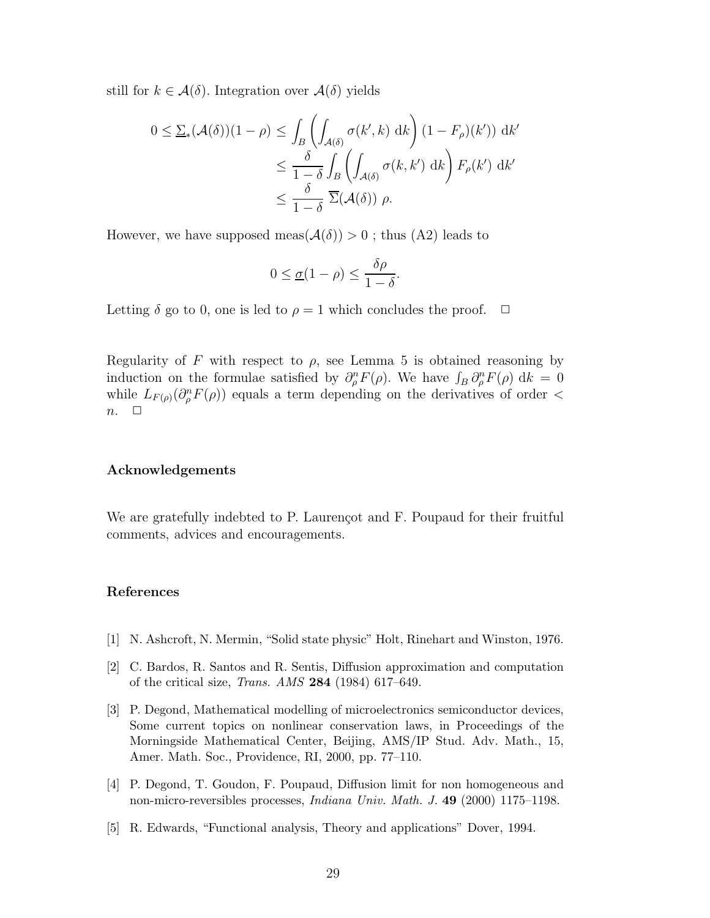still for  $k \in \mathcal{A}(\delta)$ . Integration over  $\mathcal{A}(\delta)$  yields

$$
0 \le \underline{\Sigma}_{*}(\mathcal{A}(\delta))(1-\rho) \le \int_{B} \left( \int_{\mathcal{A}(\delta)} \sigma(k',k) \, dk \right) (1 - F_{\rho})(k')) \, dk' \n\le \frac{\delta}{1-\delta} \int_{B} \left( \int_{\mathcal{A}(\delta)} \sigma(k,k') \, dk \right) F_{\rho}(k') \, dk' \n\le \frac{\delta}{1-\delta} \sum_{k'} (\mathcal{A}(\delta)) \rho.
$$

However, we have supposed meas( $\mathcal{A}(\delta)$ ) > 0; thus (A2) leads to

$$
0 \leq \underline{\sigma}(1-\rho) \leq \frac{\delta\rho}{1-\delta}.
$$

Letting  $\delta$  go to 0, one is led to  $\rho = 1$  which concludes the proof.  $\Box$ 

Regularity of F with respect to  $\rho$ , see Lemma 5 is obtained reasoning by induction on the formulae satisfied by  $\partial_{\rho}^{n} F(\rho)$ . We have  $\int_{B} \partial_{\rho}^{n} F(\rho) d\kappa = 0$ while  $L_{F(\rho)}(\partial_{\rho}^{n}F(\rho))$  equals a term depending on the derivatives of order <  $n. \square$ 

## Acknowledgements

We are gratefully indebted to P. Laurençot and F. Poupaud for their fruitful comments, advices and encouragements.

# References

- [1] N. Ashcroft, N. Mermin, "Solid state physic" Holt, Rinehart and Winston, 1976.
- [2] C. Bardos, R. Santos and R. Sentis, Diffusion approximation and computation of the critical size, Trans. AMS 284 (1984) 617–649.
- [3] P. Degond, Mathematical modelling of microelectronics semiconductor devices, Some current topics on nonlinear conservation laws, in Proceedings of the Morningside Mathematical Center, Beijing, AMS/IP Stud. Adv. Math., 15, Amer. Math. Soc., Providence, RI, 2000, pp. 77–110.
- [4] P. Degond, T. Goudon, F. Poupaud, Diffusion limit for non homogeneous and non-micro-reversibles processes, Indiana Univ. Math. J. 49 (2000) 1175–1198.
- [5] R. Edwards, "Functional analysis, Theory and applications" Dover, 1994.